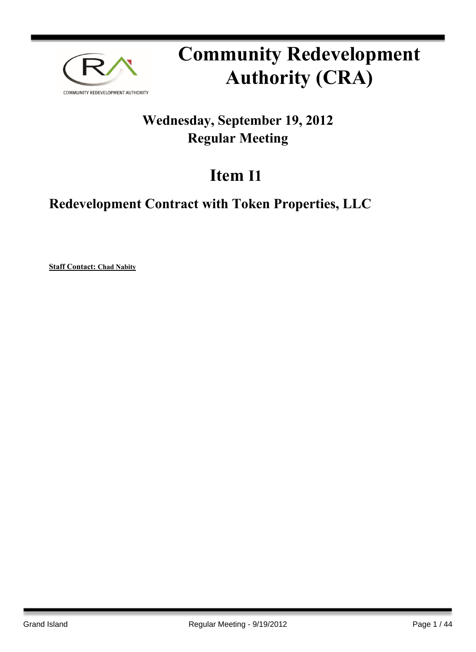

# **Community Redevelopment Authority (CRA)**

## **Wednesday, September 19, 2012 Regular Meeting**

# **Item I1**

## **Redevelopment Contract with Token Properties, LLC**

**Staff Contact: Chad Nabity**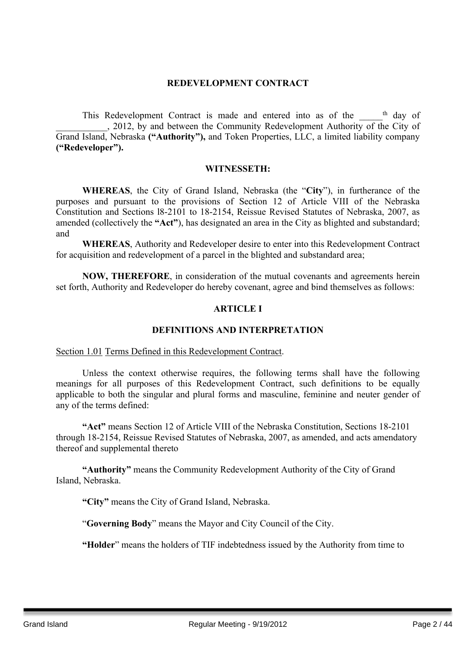#### **REDEVELOPMENT CONTRACT**

This Redevelopment Contract is made and entered into as of the semi-\_\_\_\_\_\_\_\_\_\_\_, 2012, by and between the Community Redevelopment Authority of the City of Grand Island, Nebraska **("Authority"),** and Token Properties, LLC, a limited liability company **("Redeveloper").**

#### **WITNESSETH:**

**WHEREAS**, the City of Grand Island, Nebraska (the "**City**"), in furtherance of the purposes and pursuant to the provisions of Section 12 of Article VIII of the Nebraska Constitution and Sections l8-2101 to 18-2154, Reissue Revised Statutes of Nebraska, 2007, as amended (collectively the **"Act"**), has designated an area in the City as blighted and substandard; and

**WHEREAS**, Authority and Redeveloper desire to enter into this Redevelopment Contract for acquisition and redevelopment of a parcel in the blighted and substandard area;

**NOW, THEREFORE**, in consideration of the mutual covenants and agreements herein set forth, Authority and Redeveloper do hereby covenant, agree and bind themselves as follows:

#### **ARTICLE I**

#### **DEFINITIONS AND INTERPRETATION**

#### Section 1.01 Terms Defined in this Redevelopment Contract.

Unless the context otherwise requires, the following terms shall have the following meanings for all purposes of this Redevelopment Contract, such definitions to be equally applicable to both the singular and plural forms and masculine, feminine and neuter gender of any of the terms defined:

**"Act"** means Section 12 of Article VIII of the Nebraska Constitution, Sections 18-2101 through 18-2154, Reissue Revised Statutes of Nebraska, 2007, as amended, and acts amendatory thereof and supplemental thereto

**"Authority"** means the Community Redevelopment Authority of the City of Grand Island, Nebraska.

**"City"** means the City of Grand Island, Nebraska.

"**Governing Body**" means the Mayor and City Council of the City.

**"Holder**" means the holders of TIF indebtedness issued by the Authority from time to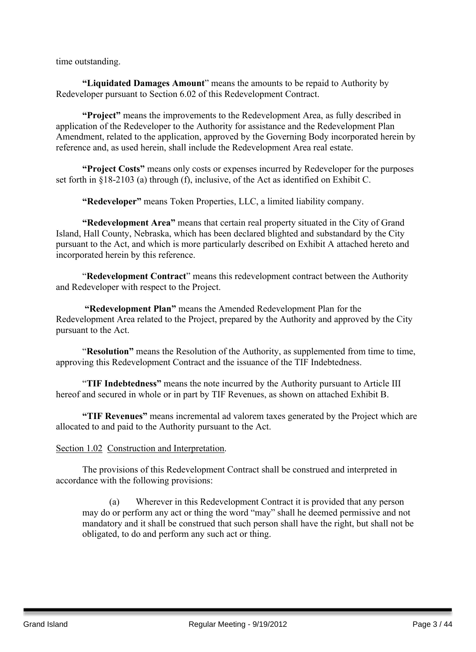time outstanding.

**"Liquidated Damages Amount**" means the amounts to be repaid to Authority by Redeveloper pursuant to Section 6.02 of this Redevelopment Contract.

**"Project"** means the improvements to the Redevelopment Area, as fully described in application of the Redeveloper to the Authority for assistance and the Redevelopment Plan Amendment, related to the application, approved by the Governing Body incorporated herein by reference and, as used herein, shall include the Redevelopment Area real estate.

**"Project Costs"** means only costs or expenses incurred by Redeveloper for the purposes set forth in §18-2103 (a) through (f), inclusive, of the Act as identified on Exhibit C.

**"Redeveloper"** means Token Properties, LLC, a limited liability company.

**"Redevelopment Area"** means that certain real property situated in the City of Grand Island, Hall County, Nebraska, which has been declared blighted and substandard by the City pursuant to the Act, and which is more particularly described on Exhibit A attached hereto and incorporated herein by this reference.

"**Redevelopment Contract**" means this redevelopment contract between the Authority and Redeveloper with respect to the Project.

**"Redevelopment Plan"** means the Amended Redevelopment Plan for the Redevelopment Area related to the Project, prepared by the Authority and approved by the City pursuant to the Act.

"**Resolution"** means the Resolution of the Authority, as supplemented from time to time, approving this Redevelopment Contract and the issuance of the TIF Indebtedness.

"**TIF Indebtedness"** means the note incurred by the Authority pursuant to Article III hereof and secured in whole or in part by TIF Revenues, as shown on attached Exhibit B.

**"TIF Revenues"** means incremental ad valorem taxes generated by the Project which are allocated to and paid to the Authority pursuant to the Act.

#### Section 1.02 Construction and Interpretation.

The provisions of this Redevelopment Contract shall be construed and interpreted in accordance with the following provisions:

(a) Wherever in this Redevelopment Contract it is provided that any person may do or perform any act or thing the word "may" shall he deemed permissive and not mandatory and it shall be construed that such person shall have the right, but shall not be obligated, to do and perform any such act or thing.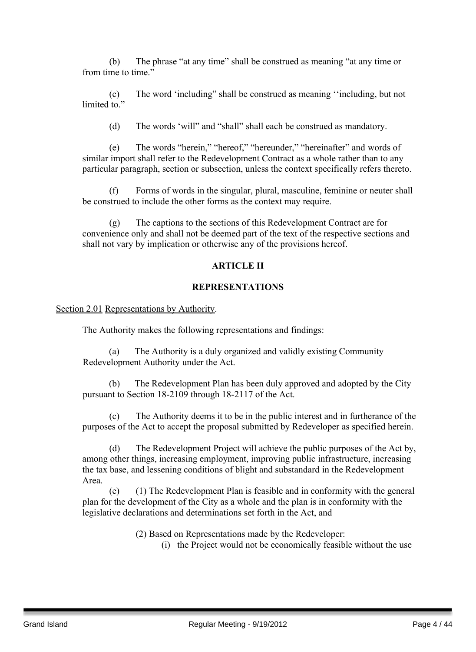(b) The phrase "at any time" shall be construed as meaning "at any time or from time to time."

(c) The word 'including" shall be construed as meaning ''including, but not limited to"

(d) The words 'will" and "shall" shall each be construed as mandatory.

(e) The words "herein," "hereof," "hereunder," "hereinafter" and words of similar import shall refer to the Redevelopment Contract as a whole rather than to any particular paragraph, section or subsection, unless the context specifically refers thereto.

(f) Forms of words in the singular, plural, masculine, feminine or neuter shall be construed to include the other forms as the context may require.

(g) The captions to the sections of this Redevelopment Contract are for convenience only and shall not be deemed part of the text of the respective sections and shall not vary by implication or otherwise any of the provisions hereof.

#### **ARTICLE II**

#### **REPRESENTATIONS**

Section 2.01 Representations by Authority.

The Authority makes the following representations and findings:

(a) The Authority is a duly organized and validly existing Community Redevelopment Authority under the Act.

(b) The Redevelopment Plan has been duly approved and adopted by the City pursuant to Section 18-2109 through 18-2117 of the Act.

(c) The Authority deems it to be in the public interest and in furtherance of the purposes of the Act to accept the proposal submitted by Redeveloper as specified herein.

(d) The Redevelopment Project will achieve the public purposes of the Act by, among other things, increasing employment, improving public infrastructure, increasing the tax base, and lessening conditions of blight and substandard in the Redevelopment Area.

(e) (1) The Redevelopment Plan is feasible and in conformity with the general plan for the development of the City as a whole and the plan is in conformity with the legislative declarations and determinations set forth in the Act, and

(2) Based on Representations made by the Redeveloper:

(i) the Project would not be economically feasible without the use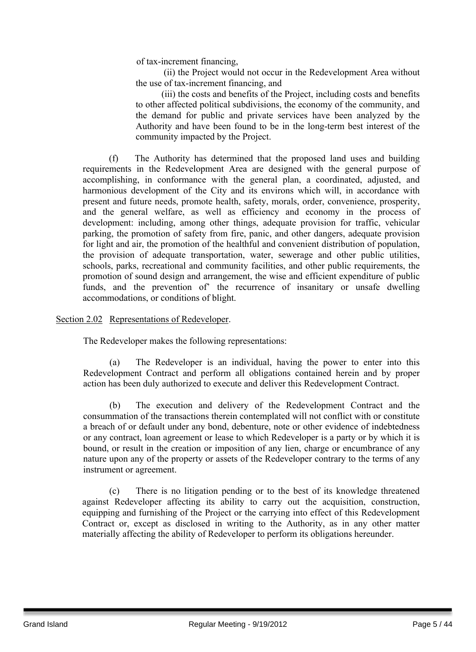of tax-increment financing,

(ii) the Project would not occur in the Redevelopment Area without the use of tax-increment financing, and

(iii) the costs and benefits of the Project, including costs and benefits to other affected political subdivisions, the economy of the community, and the demand for public and private services have been analyzed by the Authority and have been found to be in the long-term best interest of the community impacted by the Project.

(f) The Authority has determined that the proposed land uses and building requirements in the Redevelopment Area are designed with the general purpose of accomplishing, in conformance with the general plan, a coordinated, adjusted, and harmonious development of the City and its environs which will, in accordance with present and future needs, promote health, safety, morals, order, convenience, prosperity, and the general welfare, as well as efficiency and economy in the process of development: including, among other things, adequate provision for traffic, vehicular parking, the promotion of safety from fire, panic, and other dangers, adequate provision for light and air, the promotion of the healthful and convenient distribution of population, the provision of adequate transportation, water, sewerage and other public utilities, schools, parks, recreational and community facilities, and other public requirements, the promotion of sound design and arrangement, the wise and efficient expenditure of public funds, and the prevention of' the recurrence of insanitary or unsafe dwelling accommodations, or conditions of blight.

#### Section 2.02 Representations of Redeveloper.

The Redeveloper makes the following representations:

(a) The Redeveloper is an individual, having the power to enter into this Redevelopment Contract and perform all obligations contained herein and by proper action has been duly authorized to execute and deliver this Redevelopment Contract.

(b) The execution and delivery of the Redevelopment Contract and the consummation of the transactions therein contemplated will not conflict with or constitute a breach of or default under any bond, debenture, note or other evidence of indebtedness or any contract, loan agreement or lease to which Redeveloper is a party or by which it is bound, or result in the creation or imposition of any lien, charge or encumbrance of any nature upon any of the property or assets of the Redeveloper contrary to the terms of any instrument or agreement.

(c) There is no litigation pending or to the best of its knowledge threatened against Redeveloper affecting its ability to carry out the acquisition, construction, equipping and furnishing of the Project or the carrying into effect of this Redevelopment Contract or, except as disclosed in writing to the Authority, as in any other matter materially affecting the ability of Redeveloper to perform its obligations hereunder.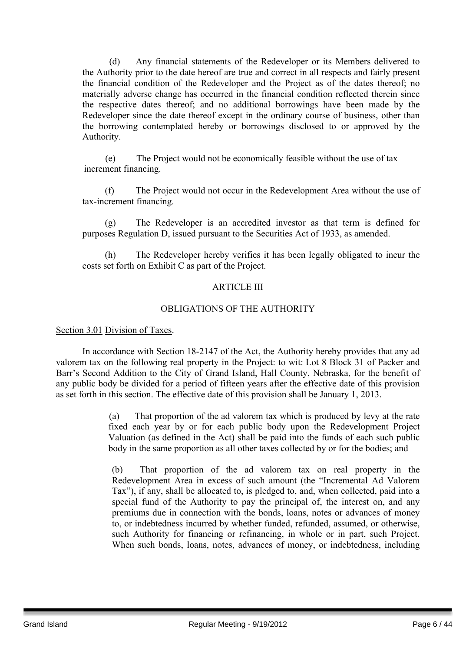(d) Any financial statements of the Redeveloper or its Members delivered to the Authority prior to the date hereof are true and correct in all respects and fairly present the financial condition of the Redeveloper and the Project as of the dates thereof; no materially adverse change has occurred in the financial condition reflected therein since the respective dates thereof; and no additional borrowings have been made by the Redeveloper since the date thereof except in the ordinary course of business, other than the borrowing contemplated hereby or borrowings disclosed to or approved by the Authority.

(e) The Project would not be economically feasible without the use of tax increment financing.

(f) The Project would not occur in the Redevelopment Area without the use of tax-increment financing.

(g) The Redeveloper is an accredited investor as that term is defined for purposes Regulation D, issued pursuant to the Securities Act of 1933, as amended.

(h) The Redeveloper hereby verifies it has been legally obligated to incur the costs set forth on Exhibit C as part of the Project.

#### ARTICLE III

#### OBLIGATIONS OF THE AUTHORITY

#### Section 3.01 Division of Taxes.

In accordance with Section 18-2147 of the Act, the Authority hereby provides that any ad valorem tax on the following real property in the Project: to wit: Lot 8 Block 31 of Packer and Barr's Second Addition to the City of Grand Island, Hall County, Nebraska, for the benefit of any public body be divided for a period of fifteen years after the effective date of this provision as set forth in this section. The effective date of this provision shall be January 1, 2013.

> (a) That proportion of the ad valorem tax which is produced by levy at the rate fixed each year by or for each public body upon the Redevelopment Project Valuation (as defined in the Act) shall be paid into the funds of each such public body in the same proportion as all other taxes collected by or for the bodies; and

(b) That proportion of the ad valorem tax on real property in the Redevelopment Area in excess of such amount (the "Incremental Ad Valorem Tax"), if any, shall be allocated to, is pledged to, and, when collected, paid into a special fund of the Authority to pay the principal of, the interest on, and any premiums due in connection with the bonds, loans, notes or advances of money to, or indebtedness incurred by whether funded, refunded, assumed, or otherwise, such Authority for financing or refinancing, in whole or in part, such Project. When such bonds, loans, notes, advances of money, or indebtedness, including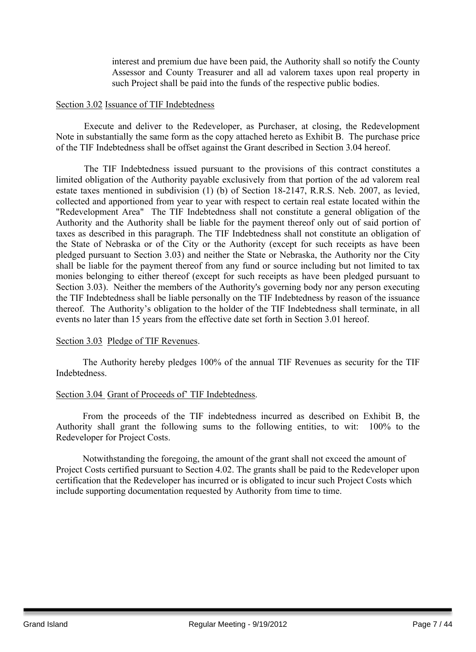interest and premium due have been paid, the Authority shall so notify the County Assessor and County Treasurer and all ad valorem taxes upon real property in such Project shall be paid into the funds of the respective public bodies.

#### Section 3.02 Issuance of TIF Indebtedness

Execute and deliver to the Redeveloper, as Purchaser, at closing, the Redevelopment Note in substantially the same form as the copy attached hereto as Exhibit B. The purchase price of the TIF Indebtedness shall be offset against the Grant described in Section 3.04 hereof.

The TIF Indebtedness issued pursuant to the provisions of this contract constitutes a limited obligation of the Authority payable exclusively from that portion of the ad valorem real estate taxes mentioned in subdivision (1) (b) of Section 18-2147, R.R.S. Neb. 2007, as levied, collected and apportioned from year to year with respect to certain real estate located within the "Redevelopment Area" The TIF Indebtedness shall not constitute a general obligation of the Authority and the Authority shall be liable for the payment thereof only out of said portion of taxes as described in this paragraph. The TIF Indebtedness shall not constitute an obligation of the State of Nebraska or of the City or the Authority (except for such receipts as have been pledged pursuant to Section 3.03) and neither the State or Nebraska, the Authority nor the City shall be liable for the payment thereof from any fund or source including but not limited to tax monies belonging to either thereof (except for such receipts as have been pledged pursuant to Section 3.03). Neither the members of the Authority's governing body nor any person executing the TIF Indebtedness shall be liable personally on the TIF Indebtedness by reason of the issuance thereof. The Authority's obligation to the holder of the TIF Indebtedness shall terminate, in all events no later than 15 years from the effective date set forth in Section 3.01 hereof.

#### Section 3.03 Pledge of TIF Revenues.

The Authority hereby pledges 100% of the annual TIF Revenues as security for the TIF Indebtedness.

#### Section 3.04 Grant of Proceeds of' TIF Indebtedness.

From the proceeds of the TIF indebtedness incurred as described on Exhibit B, the Authority shall grant the following sums to the following entities, to wit: 100% to the Redeveloper for Project Costs.

Notwithstanding the foregoing, the amount of the grant shall not exceed the amount of Project Costs certified pursuant to Section 4.02. The grants shall be paid to the Redeveloper upon certification that the Redeveloper has incurred or is obligated to incur such Project Costs which include supporting documentation requested by Authority from time to time.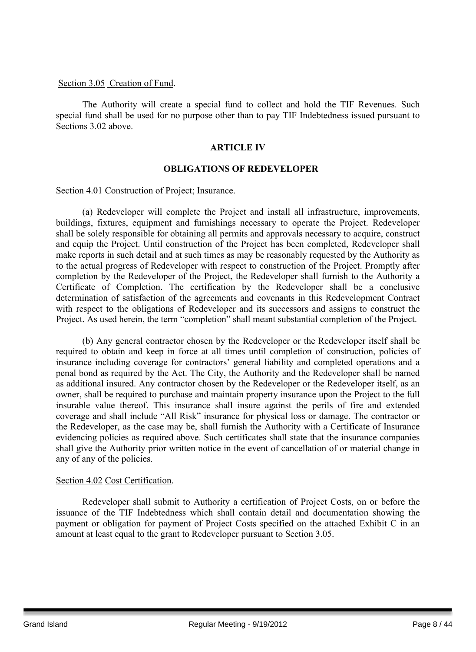#### Section 3.05 Creation of Fund.

The Authority will create a special fund to collect and hold the TIF Revenues. Such special fund shall be used for no purpose other than to pay TIF Indebtedness issued pursuant to Sections 3.02 above

#### **ARTICLE IV**

#### **OBLIGATIONS OF REDEVELOPER**

#### Section 4.01 Construction of Project; Insurance.

(a) Redeveloper will complete the Project and install all infrastructure, improvements, buildings, fixtures, equipment and furnishings necessary to operate the Project. Redeveloper shall be solely responsible for obtaining all permits and approvals necessary to acquire, construct and equip the Project. Until construction of the Project has been completed, Redeveloper shall make reports in such detail and at such times as may be reasonably requested by the Authority as to the actual progress of Redeveloper with respect to construction of the Project. Promptly after completion by the Redeveloper of the Project, the Redeveloper shall furnish to the Authority a Certificate of Completion. The certification by the Redeveloper shall be a conclusive determination of satisfaction of the agreements and covenants in this Redevelopment Contract with respect to the obligations of Redeveloper and its successors and assigns to construct the Project. As used herein, the term "completion" shall meant substantial completion of the Project.

(b) Any general contractor chosen by the Redeveloper or the Redeveloper itself shall be required to obtain and keep in force at all times until completion of construction, policies of insurance including coverage for contractors' general liability and completed operations and a penal bond as required by the Act. The City, the Authority and the Redeveloper shall be named as additional insured. Any contractor chosen by the Redeveloper or the Redeveloper itself, as an owner, shall be required to purchase and maintain property insurance upon the Project to the full insurable value thereof. This insurance shall insure against the perils of fire and extended coverage and shall include "All Risk" insurance for physical loss or damage. The contractor or the Redeveloper, as the case may be, shall furnish the Authority with a Certificate of Insurance evidencing policies as required above. Such certificates shall state that the insurance companies shall give the Authority prior written notice in the event of cancellation of or material change in any of any of the policies.

#### Section 4.02 Cost Certification.

Redeveloper shall submit to Authority a certification of Project Costs, on or before the issuance of the TIF Indebtedness which shall contain detail and documentation showing the payment or obligation for payment of Project Costs specified on the attached Exhibit C in an amount at least equal to the grant to Redeveloper pursuant to Section 3.05.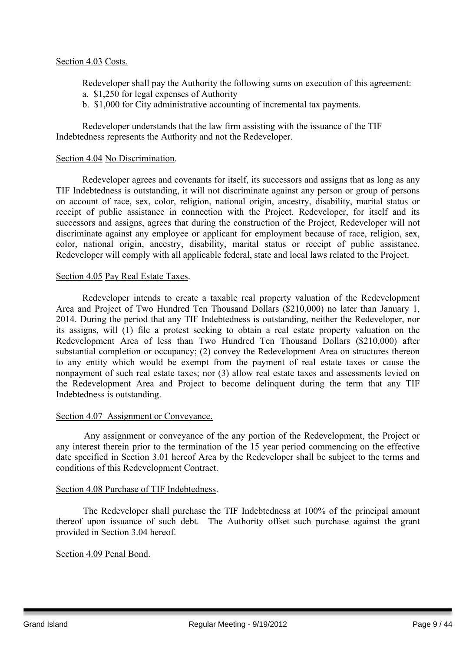Redeveloper shall pay the Authority the following sums on execution of this agreement: a. \$1,250 for legal expenses of Authority

b. \$1,000 for City administrative accounting of incremental tax payments.

Redeveloper understands that the law firm assisting with the issuance of the TIF Indebtedness represents the Authority and not the Redeveloper.

#### Section 4.04 No Discrimination.

Redeveloper agrees and covenants for itself, its successors and assigns that as long as any TIF Indebtedness is outstanding, it will not discriminate against any person or group of persons on account of race, sex, color, religion, national origin, ancestry, disability, marital status or receipt of public assistance in connection with the Project. Redeveloper, for itself and its successors and assigns, agrees that during the construction of the Project, Redeveloper will not discriminate against any employee or applicant for employment because of race, religion, sex, color, national origin, ancestry, disability, marital status or receipt of public assistance. Redeveloper will comply with all applicable federal, state and local laws related to the Project.

#### Section 4.05 Pay Real Estate Taxes.

Redeveloper intends to create a taxable real property valuation of the Redevelopment Area and Project of Two Hundred Ten Thousand Dollars (\$210,000) no later than January 1, 2014. During the period that any TIF Indebtedness is outstanding, neither the Redeveloper, nor its assigns, will (1) file a protest seeking to obtain a real estate property valuation on the Redevelopment Area of less than Two Hundred Ten Thousand Dollars (\$210,000) after substantial completion or occupancy; (2) convey the Redevelopment Area on structures thereon to any entity which would be exempt from the payment of real estate taxes or cause the nonpayment of such real estate taxes; nor (3) allow real estate taxes and assessments levied on the Redevelopment Area and Project to become delinquent during the term that any TIF Indebtedness is outstanding.

#### Section 4.07 Assignment or Conveyance.

Any assignment or conveyance of the any portion of the Redevelopment, the Project or any interest therein prior to the termination of the 15 year period commencing on the effective date specified in Section 3.01 hereof Area by the Redeveloper shall be subject to the terms and conditions of this Redevelopment Contract.

#### Section 4.08 Purchase of TIF Indebtedness.

The Redeveloper shall purchase the TIF Indebtedness at 100% of the principal amount thereof upon issuance of such debt. The Authority offset such purchase against the grant provided in Section 3.04 hereof.

#### Section 4.09 Penal Bond.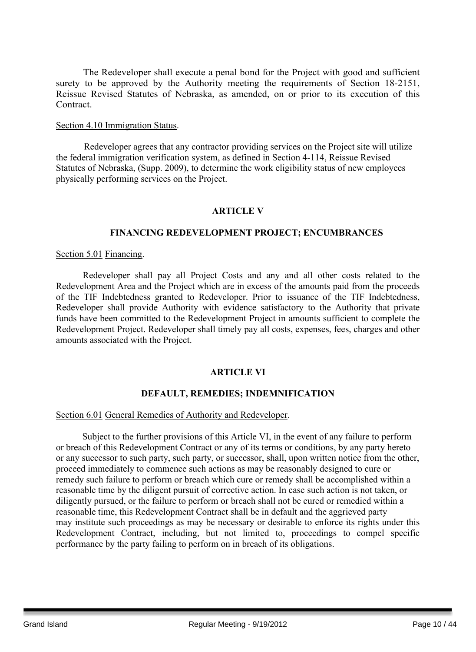The Redeveloper shall execute a penal bond for the Project with good and sufficient surety to be approved by the Authority meeting the requirements of Section 18-2151, Reissue Revised Statutes of Nebraska, as amended, on or prior to its execution of this Contract.

#### Section 4.10 Immigration Status.

Redeveloper agrees that any contractor providing services on the Project site will utilize the federal immigration verification system, as defined in Section 4-114, Reissue Revised Statutes of Nebraska, (Supp. 2009), to determine the work eligibility status of new employees physically performing services on the Project.

## **ARTICLE V**

#### **FINANCING REDEVELOPMENT PROJECT; ENCUMBRANCES**

#### Section 5.01 Financing.

Redeveloper shall pay all Project Costs and any and all other costs related to the Redevelopment Area and the Project which are in excess of the amounts paid from the proceeds of the TIF Indebtedness granted to Redeveloper. Prior to issuance of the TIF Indebtedness, Redeveloper shall provide Authority with evidence satisfactory to the Authority that private funds have been committed to the Redevelopment Project in amounts sufficient to complete the Redevelopment Project. Redeveloper shall timely pay all costs, expenses, fees, charges and other amounts associated with the Project.

## **ARTICLE VI**

## **DEFAULT, REMEDIES; INDEMNIFICATION**

#### Section 6.01 General Remedies of Authority and Redeveloper.

Subject to the further provisions of this Article VI, in the event of any failure to perform or breach of this Redevelopment Contract or any of its terms or conditions, by any party hereto or any successor to such party, such party, or successor, shall, upon written notice from the other, proceed immediately to commence such actions as may be reasonably designed to cure or remedy such failure to perform or breach which cure or remedy shall be accomplished within a reasonable time by the diligent pursuit of corrective action. In case such action is not taken, or diligently pursued, or the failure to perform or breach shall not be cured or remedied within a reasonable time, this Redevelopment Contract shall be in default and the aggrieved party may institute such proceedings as may be necessary or desirable to enforce its rights under this Redevelopment Contract, including, but not limited to, proceedings to compel specific performance by the party failing to perform on in breach of its obligations.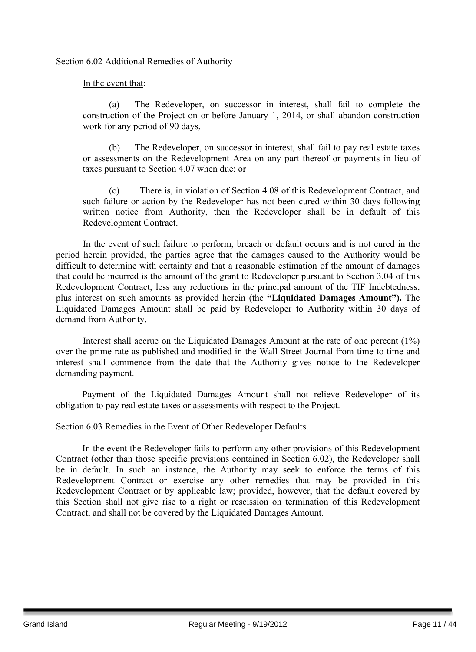#### Section 6.02 Additional Remedies of Authority

In the event that:

(a) The Redeveloper, on successor in interest, shall fail to complete the construction of the Project on or before January 1, 2014, or shall abandon construction work for any period of 90 days,

(b) The Redeveloper, on successor in interest, shall fail to pay real estate taxes or assessments on the Redevelopment Area on any part thereof or payments in lieu of taxes pursuant to Section 4.07 when due; or

(c) There is, in violation of Section 4.08 of this Redevelopment Contract, and such failure or action by the Redeveloper has not been cured within 30 days following written notice from Authority, then the Redeveloper shall be in default of this Redevelopment Contract.

In the event of such failure to perform, breach or default occurs and is not cured in the period herein provided, the parties agree that the damages caused to the Authority would be difficult to determine with certainty and that a reasonable estimation of the amount of damages that could be incurred is the amount of the grant to Redeveloper pursuant to Section 3.04 of this Redevelopment Contract, less any reductions in the principal amount of the TIF Indebtedness, plus interest on such amounts as provided herein (the **"Liquidated Damages Amount").** The Liquidated Damages Amount shall be paid by Redeveloper to Authority within 30 days of demand from Authority.

Interest shall accrue on the Liquidated Damages Amount at the rate of one percent (1%) over the prime rate as published and modified in the Wall Street Journal from time to time and interest shall commence from the date that the Authority gives notice to the Redeveloper demanding payment.

Payment of the Liquidated Damages Amount shall not relieve Redeveloper of its obligation to pay real estate taxes or assessments with respect to the Project.

#### Section 6.03 Remedies in the Event of Other Redeveloper Defaults.

In the event the Redeveloper fails to perform any other provisions of this Redevelopment Contract (other than those specific provisions contained in Section 6.02), the Redeveloper shall be in default. In such an instance, the Authority may seek to enforce the terms of this Redevelopment Contract or exercise any other remedies that may be provided in this Redevelopment Contract or by applicable law; provided, however, that the default covered by this Section shall not give rise to a right or rescission on termination of this Redevelopment Contract, and shall not be covered by the Liquidated Damages Amount.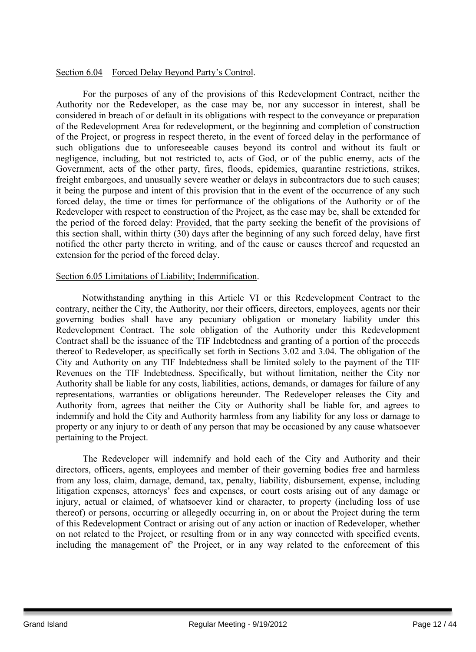#### Section 6.04 Forced Delay Beyond Party's Control.

For the purposes of any of the provisions of this Redevelopment Contract, neither the Authority nor the Redeveloper, as the case may be, nor any successor in interest, shall be considered in breach of or default in its obligations with respect to the conveyance or preparation of the Redevelopment Area for redevelopment, or the beginning and completion of construction of the Project, or progress in respect thereto, in the event of forced delay in the performance of such obligations due to unforeseeable causes beyond its control and without its fault or negligence, including, but not restricted to, acts of God, or of the public enemy, acts of the Government, acts of the other party, fires, floods, epidemics, quarantine restrictions, strikes, freight embargoes, and unusually severe weather or delays in subcontractors due to such causes; it being the purpose and intent of this provision that in the event of the occurrence of any such forced delay, the time or times for performance of the obligations of the Authority or of the Redeveloper with respect to construction of the Project, as the case may be, shall be extended for the period of the forced delay: Provided, that the party seeking the benefit of the provisions of this section shall, within thirty (30) days after the beginning of any such forced delay, have first notified the other party thereto in writing, and of the cause or causes thereof and requested an extension for the period of the forced delay.

#### Section 6.05 Limitations of Liability; Indemnification.

Notwithstanding anything in this Article VI or this Redevelopment Contract to the contrary, neither the City, the Authority, nor their officers, directors, employees, agents nor their governing bodies shall have any pecuniary obligation or monetary liability under this Redevelopment Contract. The sole obligation of the Authority under this Redevelopment Contract shall be the issuance of the TIF Indebtedness and granting of a portion of the proceeds thereof to Redeveloper, as specifically set forth in Sections 3.02 and 3.04. The obligation of the City and Authority on any TIF Indebtedness shall be limited solely to the payment of the TIF Revenues on the TIF Indebtedness. Specifically, but without limitation, neither the City nor Authority shall be liable for any costs, liabilities, actions, demands, or damages for failure of any representations, warranties or obligations hereunder. The Redeveloper releases the City and Authority from, agrees that neither the City or Authority shall be liable for, and agrees to indemnify and hold the City and Authority harmless from any liability for any loss or damage to property or any injury to or death of any person that may be occasioned by any cause whatsoever pertaining to the Project.

The Redeveloper will indemnify and hold each of the City and Authority and their directors, officers, agents, employees and member of their governing bodies free and harmless from any loss, claim, damage, demand, tax, penalty, liability, disbursement, expense, including litigation expenses, attorneys' fees and expenses, or court costs arising out of any damage or injury, actual or claimed, of whatsoever kind or character, to property (including loss of use thereof) or persons, occurring or allegedly occurring in, on or about the Project during the term of this Redevelopment Contract or arising out of any action or inaction of Redeveloper, whether on not related to the Project, or resulting from or in any way connected with specified events, including the management of' the Project, or in any way related to the enforcement of this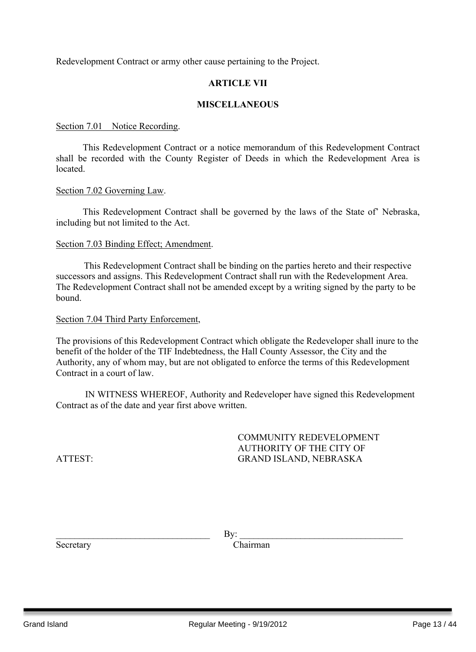Redevelopment Contract or army other cause pertaining to the Project.

#### **ARTICLE VII**

#### **MISCELLANEOUS**

#### Section 7.01 Notice Recording.

This Redevelopment Contract or a notice memorandum of this Redevelopment Contract shall be recorded with the County Register of Deeds in which the Redevelopment Area is located.

#### Section 7.02 Governing Law.

This Redevelopment Contract shall be governed by the laws of the State of' Nebraska, including but not limited to the Act.

#### Section 7.03 Binding Effect; Amendment.

This Redevelopment Contract shall be binding on the parties hereto and their respective successors and assigns. This Redevelopment Contract shall run with the Redevelopment Area. The Redevelopment Contract shall not be amended except by a writing signed by the party to be bound.

#### Section 7.04 Third Party Enforcement,

The provisions of this Redevelopment Contract which obligate the Redeveloper shall inure to the benefit of the holder of the TIF Indebtedness, the Hall County Assessor, the City and the Authority, any of whom may, but are not obligated to enforce the terms of this Redevelopment Contract in a court of law.

IN WITNESS WHEREOF, Authority and Redeveloper have signed this Redevelopment Contract as of the date and year first above written.

COMMUNITY REDEVELOPMENT AUTHORITY OF THE CITY OF ATTEST: GRAND ISLAND, NEBRASKA

 $\Box$  By:

Secretary Chairman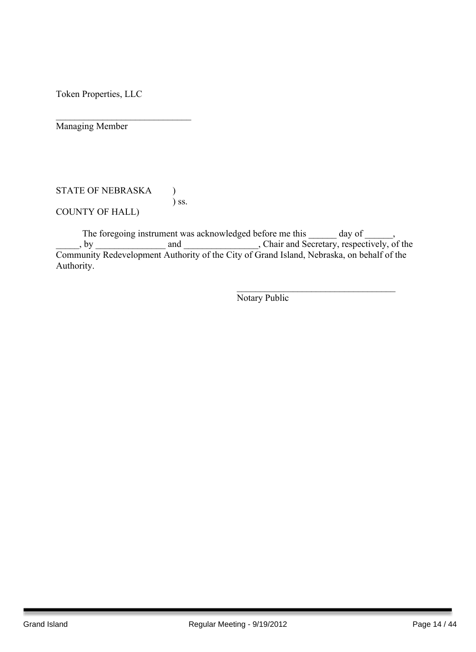Token Properties, LLC

 $\mathcal{L}_\text{max}$  , where  $\mathcal{L}_\text{max}$  , we have the set of  $\mathcal{L}_\text{max}$ Managing Member

#### STATE OF NEBRASKA ) ) ss. COUNTY OF HALL)

The foregoing instrument was acknowledged before me this day of  $\qquad \qquad$ , \_\_\_\_\_, by \_\_\_\_\_\_\_\_\_\_\_\_\_\_\_ and \_\_\_\_\_\_\_\_\_\_\_\_\_\_\_\_, Chair and Secretary, respectively, of the Community Redevelopment Authority of the City of Grand Island, Nebraska, on behalf of the Authority.

Notary Public

 $\mathcal{L}_\text{max}$  , and the set of the set of the set of the set of the set of the set of the set of the set of the set of the set of the set of the set of the set of the set of the set of the set of the set of the set of the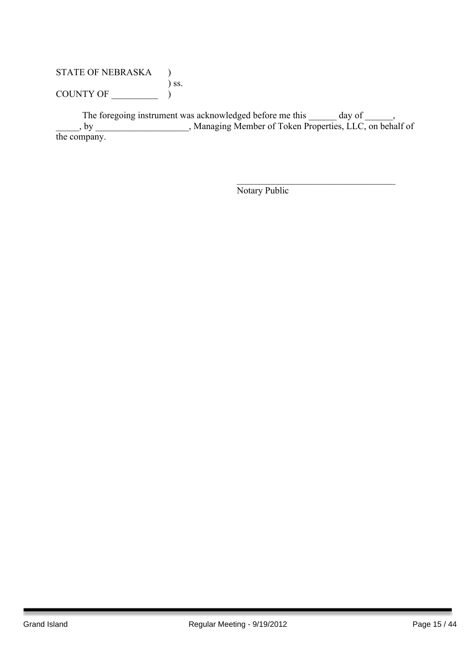## STATE OF NEBRASKA ) ) ss. COUNTY OF  $\_\_\_\_\_\_\_$

The foregoing instrument was acknowledged before me this \_\_\_\_\_\_ day of \_\_\_\_\_\_, \_\_\_\_\_, by \_\_\_\_\_\_\_\_\_\_\_\_\_\_\_\_\_\_\_\_, Managing Member of Token Properties, LLC, on behalf of the company.

Notary Public

 $\mathcal{L}_\text{max}$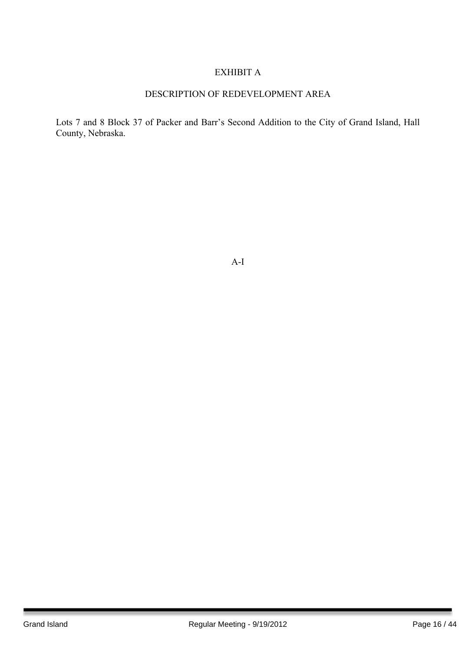## EXHIBIT A

## DESCRIPTION OF REDEVELOPMENT AREA

Lots 7 and 8 Block 37 of Packer and Barr's Second Addition to the City of Grand Island, Hall County, Nebraska.

A-I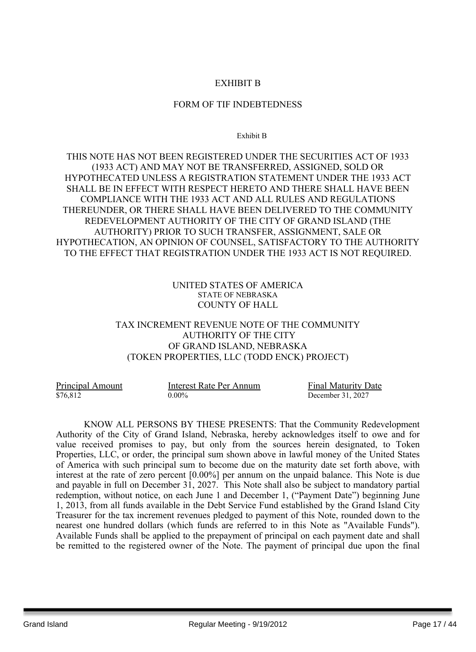## EXHIBIT B

#### FORM OF TIF INDEBTEDNESS

Exhibit B

THIS NOTE HAS NOT BEEN REGISTERED UNDER THE SECURITIES ACT OF 1933 (1933 ACT) AND MAY NOT BE TRANSFERRED, ASSIGNED, SOLD OR HYPOTHECATED UNLESS A REGISTRATION STATEMENT UNDER THE 1933 ACT SHALL BE IN EFFECT WITH RESPECT HERETO AND THERE SHALL HAVE BEEN COMPLIANCE WITH THE 1933 ACT AND ALL RULES AND REGULATIONS THEREUNDER, OR THERE SHALL HAVE BEEN DELIVERED TO THE COMMUNITY REDEVELOPMENT AUTHORITY OF THE CITY OF GRAND ISLAND (THE AUTHORITY) PRIOR TO SUCH TRANSFER, ASSIGNMENT, SALE OR HYPOTHECATION, AN OPINION OF COUNSEL, SATISFACTORY TO THE AUTHORITY TO THE EFFECT THAT REGISTRATION UNDER THE 1933 ACT IS NOT REQUIRED.

#### UNITED STATES OF AMERICA STATE OF NEBRASKA COUNTY OF HALL

## TAX INCREMENT REVENUE NOTE OF THE COMMUNITY AUTHORITY OF THE CITY OF GRAND ISLAND, NEBRASKA (TOKEN PROPERTIES, LLC (TODD ENCK) PROJECT)

| Principal Amount | Interest Rate Per Annum | <b>Final Maturity Date</b> |
|------------------|-------------------------|----------------------------|
| \$76,812         | $0.00\%$                | December 31, 2027          |

KNOW ALL PERSONS BY THESE PRESENTS: That the Community Redevelopment Authority of the City of Grand Island, Nebraska, hereby acknowledges itself to owe and for value received promises to pay, but only from the sources herein designated, to Token Properties, LLC, or order, the principal sum shown above in lawful money of the United States of America with such principal sum to become due on the maturity date set forth above, with interest at the rate of zero percent [0.00%] per annum on the unpaid balance. This Note is due and payable in full on December 31, 2027. This Note shall also be subject to mandatory partial redemption, without notice, on each June 1 and December 1, ("Payment Date") beginning June 1, 2013, from all funds available in the Debt Service Fund established by the Grand Island City Treasurer for the tax increment revenues pledged to payment of this Note, rounded down to the nearest one hundred dollars (which funds are referred to in this Note as "Available Funds"). Available Funds shall be applied to the prepayment of principal on each payment date and shall be remitted to the registered owner of the Note. The payment of principal due upon the final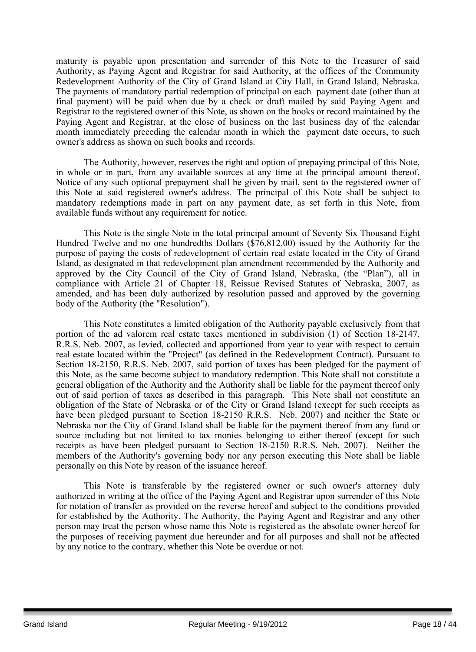maturity is payable upon presentation and surrender of this Note to the Treasurer of said Authority, as Paying Agent and Registrar for said Authority, at the offices of the Community Redevelopment Authority of the City of Grand Island at City Hall, in Grand Island, Nebraska. The payments of mandatory partial redemption of principal on each payment date (other than at final payment) will be paid when due by a check or draft mailed by said Paying Agent and Registrar to the registered owner of this Note, as shown on the books or record maintained by the Paying Agent and Registrar, at the close of business on the last business day of the calendar month immediately preceding the calendar month in which the payment date occurs, to such owner's address as shown on such books and records.

The Authority, however, reserves the right and option of prepaying principal of this Note, in whole or in part, from any available sources at any time at the principal amount thereof. Notice of any such optional prepayment shall be given by mail, sent to the registered owner of this Note at said registered owner's address. The principal of this Note shall be subject to mandatory redemptions made in part on any payment date, as set forth in this Note, from available funds without any requirement for notice.

This Note is the single Note in the total principal amount of Seventy Six Thousand Eight Hundred Twelve and no one hundredths Dollars (\$76,812.00) issued by the Authority for the purpose of paying the costs of redevelopment of certain real estate located in the City of Grand Island, as designated in that redevelopment plan amendment recommended by the Authority and approved by the City Council of the City of Grand Island, Nebraska, (the "Plan"), all in compliance with Article 21 of Chapter 18, Reissue Revised Statutes of Nebraska, 2007, as amended, and has been duly authorized by resolution passed and approved by the governing body of the Authority (the "Resolution").

This Note constitutes a limited obligation of the Authority payable exclusively from that portion of the ad valorem real estate taxes mentioned in subdivision (1) of Section 18-2147, R.R.S. Neb. 2007, as levied, collected and apportioned from year to year with respect to certain real estate located within the "Project" (as defined in the Redevelopment Contract). Pursuant to Section 18-2150, R.R.S. Neb. 2007, said portion of taxes has been pledged for the payment of this Note, as the same become subject to mandatory redemption. This Note shall not constitute a general obligation of the Authority and the Authority shall be liable for the payment thereof only out of said portion of taxes as described in this paragraph. This Note shall not constitute an obligation of the State of Nebraska or of the City or Grand Island (except for such receipts as have been pledged pursuant to Section 18-2150 R.R.S. Neb. 2007) and neither the State or Nebraska nor the City of Grand Island shall be liable for the payment thereof from any fund or source including but not limited to tax monies belonging to either thereof (except for such receipts as have been pledged pursuant to Section 18-2150 R.R.S. Neb. 2007). Neither the members of the Authority's governing body nor any person executing this Note shall be liable personally on this Note by reason of the issuance hereof.

This Note is transferable by the registered owner or such owner's attorney duly authorized in writing at the office of the Paying Agent and Registrar upon surrender of this Note for notation of transfer as provided on the reverse hereof and subject to the conditions provided for established by the Authority. The Authority, the Paying Agent and Registrar and any other person may treat the person whose name this Note is registered as the absolute owner hereof for the purposes of receiving payment due hereunder and for all purposes and shall not be affected by any notice to the contrary, whether this Note be overdue or not.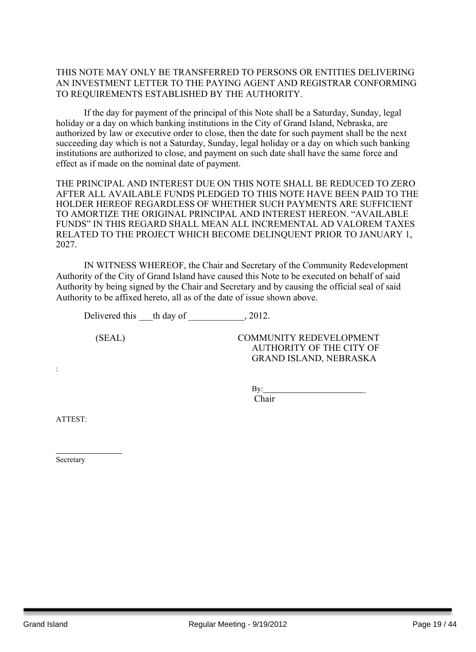## THIS NOTE MAY ONLY BE TRANSFERRED TO PERSONS OR ENTITIES DELIVERING AN INVESTMENT LETTER TO THE PAYING AGENT AND REGISTRAR CONFORMING TO REQUIREMENTS ESTABLISHED BY THE AUTHORITY.

If the day for payment of the principal of this Note shall be a Saturday, Sunday, legal holiday or a day on which banking institutions in the City of Grand Island, Nebraska, are authorized by law or executive order to close, then the date for such payment shall be the next succeeding day which is not a Saturday, Sunday, legal holiday or a day on which such banking institutions are authorized to close, and payment on such date shall have the same force and effect as if made on the nominal date of payment.

THE PRINCIPAL AND INTEREST DUE ON THIS NOTE SHALL BE REDUCED TO ZERO AFTER ALL AVAILABLE FUNDS PLEDGED TO THIS NOTE HAVE BEEN PAID TO THE HOLDER HEREOF REGARDLESS OF WHETHER SUCH PAYMENTS ARE SUFFICIENT TO AMORTIZE THE ORIGINAL PRINCIPAL AND INTEREST HEREON. "AVAILABLE FUNDS" IN THIS REGARD SHALL MEAN ALL INCREMENTAL AD VALOREM TAXES RELATED TO THE PROJECT WHICH BECOME DELINQUENT PRIOR TO JANUARY 1, 2027.

IN WITNESS WHEREOF, the Chair and Secretary of the Community Redevelopment Authority of the City of Grand Island have caused this Note to be executed on behalf of said Authority by being signed by the Chair and Secretary and by causing the official seal of said Authority to be affixed hereto, all as of the date of issue shown above.

Delivered this th day of 2012.

(SEAL) COMMUNITY REDEVELOPMENT AUTHORITY OF THE CITY OF GRAND ISLAND, NEBRASKA

> $Bv$ : Chair

ATTEST:

:

Secretary

 $\mathcal{L}_\text{max}$  , we have the set of  $\mathcal{L}_\text{max}$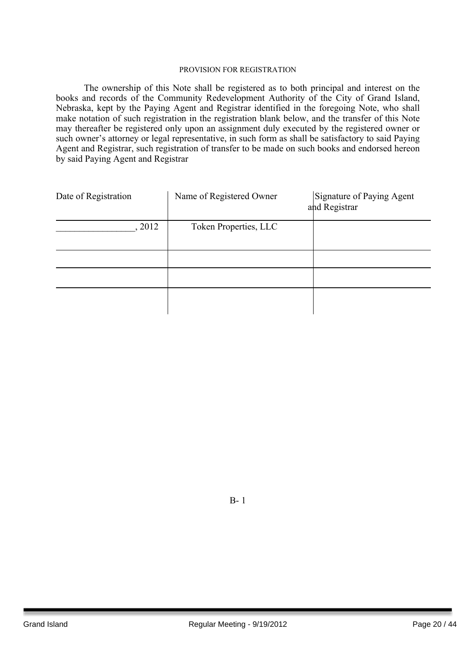#### PROVISION FOR REGISTRATION

The ownership of this Note shall be registered as to both principal and interest on the books and records of the Community Redevelopment Authority of the City of Grand Island, Nebraska, kept by the Paying Agent and Registrar identified in the foregoing Note, who shall make notation of such registration in the registration blank below, and the transfer of this Note may thereafter be registered only upon an assignment duly executed by the registered owner or such owner's attorney or legal representative, in such form as shall be satisfactory to said Paying Agent and Registrar, such registration of transfer to be made on such books and endorsed hereon by said Paying Agent and Registrar

| Date of Registration | Name of Registered Owner | Signature of Paying Agent<br>and Registrar |
|----------------------|--------------------------|--------------------------------------------|
| 2012                 | Token Properties, LLC    |                                            |
|                      |                          |                                            |
|                      |                          |                                            |
|                      |                          |                                            |

B- 1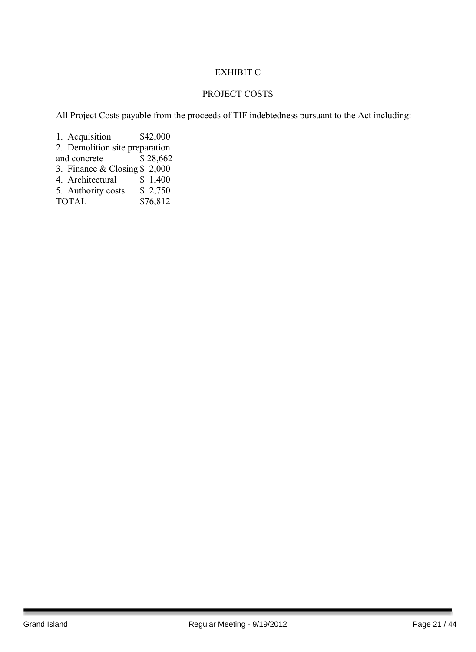## EXHIBIT C

## PROJECT COSTS

All Project Costs payable from the proceeds of TIF indebtedness pursuant to the Act including:

1. Acquisition \$42,000 2. Demolition site preparation and concrete \$28,662 3. Finance & Closing \$ 2,000<br>4. Architectural \$ 1,400 4. Architectural  $$ 1,400$ <br>5. Authority costs  $$ 2,750$ 5. Authority costs\_  $\overline{$76,812}$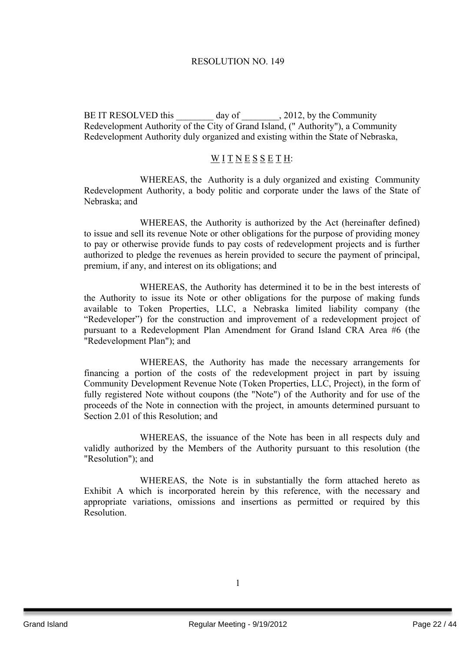#### RESOLUTION NO. 149

BE IT RESOLVED this \_\_\_\_\_\_\_\_ day of \_\_\_\_\_\_\_\_\_, 2012, by the Community Redevelopment Authority of the City of Grand Island, (" Authority"), a Community Redevelopment Authority duly organized and existing within the State of Nebraska,

#### WITNESSETH:

WHEREAS, the Authority is a duly organized and existing Community Redevelopment Authority, a body politic and corporate under the laws of the State of Nebraska; and

WHEREAS, the Authority is authorized by the Act (hereinafter defined) to issue and sell its revenue Note or other obligations for the purpose of providing money to pay or otherwise provide funds to pay costs of redevelopment projects and is further authorized to pledge the revenues as herein provided to secure the payment of principal, premium, if any, and interest on its obligations; and

WHEREAS, the Authority has determined it to be in the best interests of the Authority to issue its Note or other obligations for the purpose of making funds available to Token Properties, LLC, a Nebraska limited liability company (the "Redeveloper") for the construction and improvement of a redevelopment project of pursuant to a Redevelopment Plan Amendment for Grand Island CRA Area #6 (the "Redevelopment Plan"); and

WHEREAS, the Authority has made the necessary arrangements for financing a portion of the costs of the redevelopment project in part by issuing Community Development Revenue Note (Token Properties, LLC, Project), in the form of fully registered Note without coupons (the "Note") of the Authority and for use of the proceeds of the Note in connection with the project, in amounts determined pursuant to Section 2.01 of this Resolution; and

WHEREAS, the issuance of the Note has been in all respects duly and validly authorized by the Members of the Authority pursuant to this resolution (the "Resolution"); and

WHEREAS, the Note is in substantially the form attached hereto as Exhibit A which is incorporated herein by this reference, with the necessary and appropriate variations, omissions and insertions as permitted or required by this Resolution.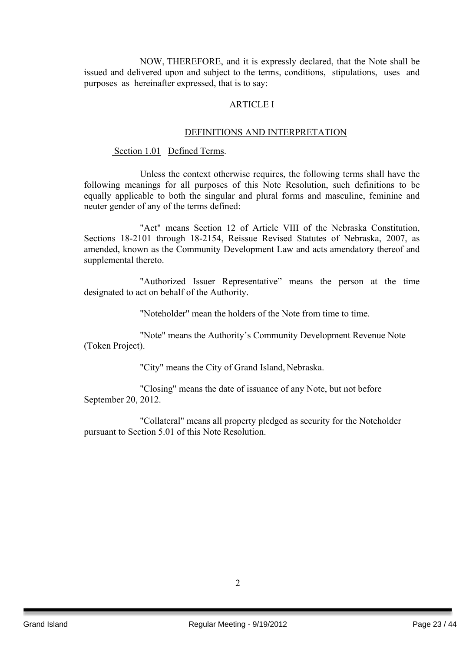NOW, THEREFORE, and it is expressly declared, that the Note shall be issued and delivered upon and subject to the terms, conditions, stipulations, uses and purposes as hereinafter expressed, that is to say:

#### ARTICLE I

#### DEFINITIONS AND INTERPRETATION

Section 1.01 Defined Terms.

Unless the context otherwise requires, the following terms shall have the following meanings for all purposes of this Note Resolution, such definitions to be equally applicable to both the singular and plural forms and masculine, feminine and neuter gender of any of the terms defined:

"Act" means Section 12 of Article VIII of the Nebraska Constitution, Sections 18-2101 through 18-2154, Reissue Revised Statutes of Nebraska, 2007, as amended, known as the Community Development Law and acts amendatory thereof and supplemental thereto.

"Authorized Issuer Representative" means the person at the time designated to act on behalf of the Authority.

"Noteholder" mean the holders of the Note from time to time.

"Note" means the Authority's Community Development Revenue Note (Token Project).

"City" means the City of Grand Island, Nebraska.

"Closing" means the date of issuance of any Note, but not before September 20, 2012.

"Collateral" means all property pledged as security for the Noteholder pursuant to Section 5.01 of this Note Resolution.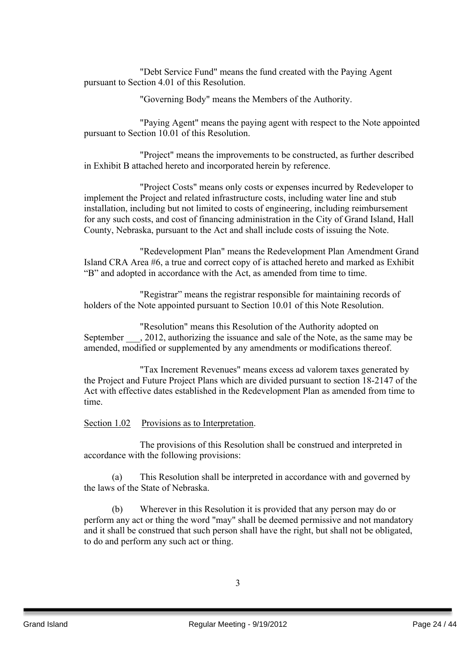"Debt Service Fund" means the fund created with the Paying Agent pursuant to Section 4.01 of this Resolution.

"Governing Body" means the Members of the Authority.

"Paying Agent" means the paying agent with respect to the Note appointed pursuant to Section 10.01 of this Resolution.

"Project" means the improvements to be constructed, as further described in Exhibit B attached hereto and incorporated herein by reference.

"Project Costs" means only costs or expenses incurred by Redeveloper to implement the Project and related infrastructure costs, including water line and stub installation, including but not limited to costs of engineering, including reimbursement for any such costs, and cost of financing administration in the City of Grand Island, Hall County, Nebraska, pursuant to the Act and shall include costs of issuing the Note.

"Redevelopment Plan" means the Redevelopment Plan Amendment Grand Island CRA Area #6, a true and correct copy of is attached hereto and marked as Exhibit "B" and adopted in accordance with the Act, as amended from time to time.

"Registrar" means the registrar responsible for maintaining records of holders of the Note appointed pursuant to Section 10.01 of this Note Resolution.

"Resolution" means this Resolution of the Authority adopted on September  $\qquad$ , 2012, authorizing the issuance and sale of the Note, as the same may be amended, modified or supplemented by any amendments or modifications thereof.

"Tax Increment Revenues" means excess ad valorem taxes generated by the Project and Future Project Plans which are divided pursuant to section 18-2147 of the Act with effective dates established in the Redevelopment Plan as amended from time to time.

## Section 1.02 Provisions as to Interpretation.

The provisions of this Resolution shall be construed and interpreted in accordance with the following provisions:

(a) This Resolution shall be interpreted in accordance with and governed by the laws of the State of Nebraska.

(b) Wherever in this Resolution it is provided that any person may do or perform any act or thing the word "may" shall be deemed permissive and not mandatory and it shall be construed that such person shall have the right, but shall not be obligated, to do and perform any such act or thing.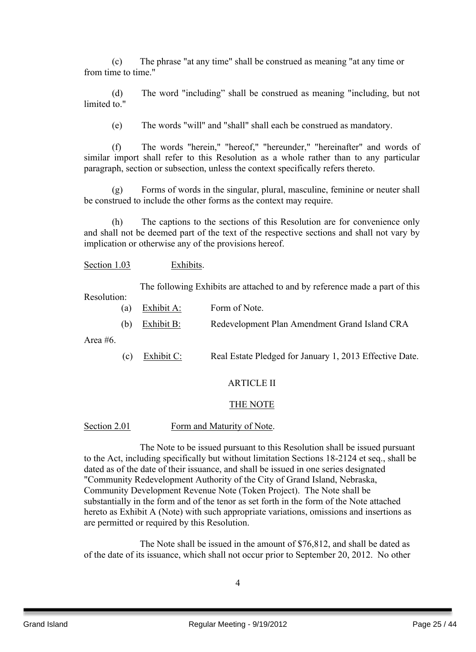(c) The phrase "at any time" shall be construed as meaning "at any time or from time to time."

(d) The word "including" shall be construed as meaning "including, but not limited to "

(e) The words "will" and "shall" shall each be construed as mandatory.

(f) The words "herein," "hereof," "hereunder," "hereinafter" and words of similar import shall refer to this Resolution as a whole rather than to any particular paragraph, section or subsection, unless the context specifically refers thereto.

(g) Forms of words in the singular, plural, masculine, feminine or neuter shall be construed to include the other forms as the context may require.

(h) The captions to the sections of this Resolution are for convenience only and shall not be deemed part of the text of the respective sections and shall not vary by implication or otherwise any of the provisions hereof.

Section 1.03 Exhibits.

The following Exhibits are attached to and by reference made a part of this

Resolution:

- (a) Exhibit A: Form of Note.
- (b) Exhibit B: Redevelopment Plan Amendment Grand Island CRA

Area #6.

(c) Exhibit C: Real Estate Pledged for January 1, 2013 Effective Date.

## ARTICLE II

## THE NOTE

#### Section 2.01 Form and Maturity of Note.

The Note to be issued pursuant to this Resolution shall be issued pursuant to the Act, including specifically but without limitation Sections 18-2124 et seq., shall be dated as of the date of their issuance, and shall be issued in one series designated "Community Redevelopment Authority of the City of Grand Island, Nebraska, Community Development Revenue Note (Token Project). The Note shall be substantially in the form and of the tenor as set forth in the form of the Note attached hereto as Exhibit A (Note) with such appropriate variations, omissions and insertions as are permitted or required by this Resolution.

The Note shall be issued in the amount of \$76,812, and shall be dated as of the date of its issuance, which shall not occur prior to September 20, 2012. No other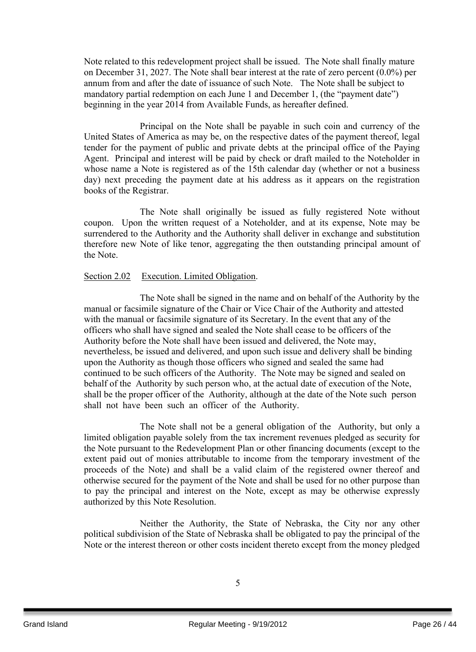Note related to this redevelopment project shall be issued. The Note shall finally mature on December 31, 2027. The Note shall bear interest at the rate of zero percent (0.0%) per annum from and after the date of issuance of such Note. The Note shall be subject to mandatory partial redemption on each June 1 and December 1, (the "payment date") beginning in the year 2014 from Available Funds, as hereafter defined.

Principal on the Note shall be payable in such coin and currency of the United States of America as may be, on the respective dates of the payment thereof, legal tender for the payment of public and private debts at the principal office of the Paying Agent. Principal and interest will be paid by check or draft mailed to the Noteholder in whose name a Note is registered as of the 15th calendar day (whether or not a business day) next preceding the payment date at his address as it appears on the registration books of the Registrar.

The Note shall originally be issued as fully registered Note without coupon. Upon the written request of a Noteholder, and at its expense, Note may be surrendered to the Authority and the Authority shall deliver in exchange and substitution therefore new Note of like tenor, aggregating the then outstanding principal amount of the Note.

#### Section 2.02 Execution. Limited Obligation.

The Note shall be signed in the name and on behalf of the Authority by the manual or facsimile signature of the Chair or Vice Chair of the Authority and attested with the manual or facsimile signature of its Secretary. In the event that any of the officers who shall have signed and sealed the Note shall cease to be officers of the Authority before the Note shall have been issued and delivered, the Note may, nevertheless, be issued and delivered, and upon such issue and delivery shall be binding upon the Authority as though those officers who signed and sealed the same had continued to be such officers of the Authority. The Note may be signed and sealed on behalf of the Authority by such person who, at the actual date of execution of the Note, shall be the proper officer of the Authority, although at the date of the Note such person shall not have been such an officer of the Authority.

The Note shall not be a general obligation of the Authority, but only a limited obligation payable solely from the tax increment revenues pledged as security for the Note pursuant to the Redevelopment Plan or other financing documents (except to the extent paid out of monies attributable to income from the temporary investment of the proceeds of the Note) and shall be a valid claim of the registered owner thereof and otherwise secured for the payment of the Note and shall be used for no other purpose than to pay the principal and interest on the Note, except as may be otherwise expressly authorized by this Note Resolution.

Neither the Authority, the State of Nebraska, the City nor any other political subdivision of the State of Nebraska shall be obligated to pay the principal of the Note or the interest thereon or other costs incident thereto except from the money pledged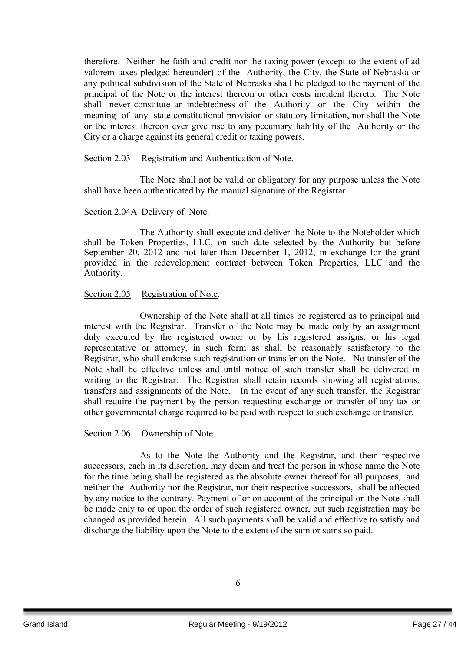therefore. Neither the faith and credit nor the taxing power (except to the extent of ad valorem taxes pledged hereunder) of the Authority, the City, the State of Nebraska or any political subdivision of the State of Nebraska shall be pledged to the payment of the principal of the Note or the interest thereon or other costs incident thereto. The Note shall never constitute an indebtedness of the Authority or the City within the meaning of any state constitutional provision or statutory limitation, nor shall the Note or the interest thereon ever give rise to any pecuniary liability of the Authority or the City or a charge against its general credit or taxing powers.

#### Section 2.03 Registration and Authentication of Note.

The Note shall not be valid or obligatory for any purpose unless the Note shall have been authenticated by the manual signature of the Registrar.

#### Section 2.04A Delivery of Note.

The Authority shall execute and deliver the Note to the Noteholder which shall be Token Properties, LLC, on such date selected by the Authority but before September 20, 2012 and not later than December 1, 2012, in exchange for the grant provided in the redevelopment contract between Token Properties, LLC and the Authority.

#### Section 2.05 Registration of Note.

Ownership of the Note shall at all times be registered as to principal and interest with the Registrar. Transfer of the Note may be made only by an assignment duly executed by the registered owner or by his registered assigns, or his legal representative or attorney, in such form as shall be reasonably satisfactory to the Registrar, who shall endorse such registration or transfer on the Note. No transfer of the Note shall be effective unless and until notice of such transfer shall be delivered in writing to the Registrar. The Registrar shall retain records showing all registrations, transfers and assignments of the Note. In the event of any such transfer, the Registrar shall require the payment by the person requesting exchange or transfer of any tax or other governmental charge required to be paid with respect to such exchange or transfer.

#### Section 2.06 Ownership of Note.

As to the Note the Authority and the Registrar, and their respective successors, each in its discretion, may deem and treat the person in whose name the Note for the time being shall be registered as the absolute owner thereof for all purposes, and neither the Authority nor the Registrar, nor their respective successors, shall be affected by any notice to the contrary. Payment of or on account of the principal on the Note shall be made only to or upon the order of such registered owner, but such registration may be changed as provided herein. All such payments shall be valid and effective to satisfy and discharge the liability upon the Note to the extent of the sum or sums so paid.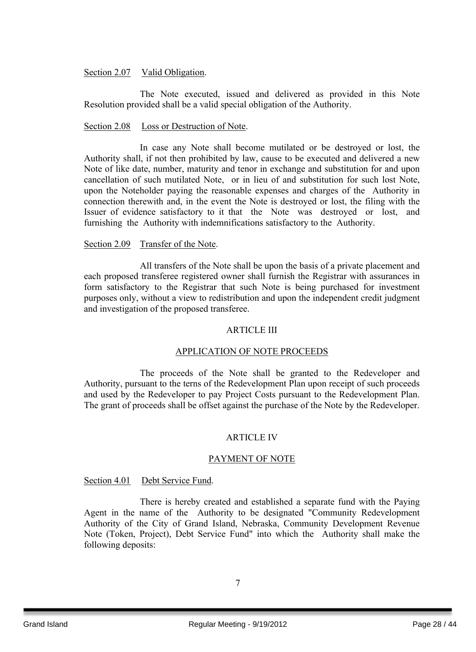#### Section 2.07 Valid Obligation.

The Note executed, issued and delivered as provided in this Note Resolution provided shall be a valid special obligation of the Authority.

#### Section 2.08 Loss or Destruction of Note.

In case any Note shall become mutilated or be destroyed or lost, the Authority shall, if not then prohibited by law, cause to be executed and delivered a new Note of like date, number, maturity and tenor in exchange and substitution for and upon cancellation of such mutilated Note, or in lieu of and substitution for such lost Note, upon the Noteholder paying the reasonable expenses and charges of the Authority in connection therewith and, in the event the Note is destroyed or lost, the filing with the Issuer of evidence satisfactory to it that the Note was destroyed or lost, and furnishing the Authority with indemnifications satisfactory to the Authority.

### Section 2.09 Transfer of the Note.

All transfers of the Note shall be upon the basis of a private placement and each proposed transferee registered owner shall furnish the Registrar with assurances in form satisfactory to the Registrar that such Note is being purchased for investment purposes only, without a view to redistribution and upon the independent credit judgment and investigation of the proposed transferee.

#### ARTICLE III

#### APPLICATION OF NOTE PROCEEDS

The proceeds of the Note shall be granted to the Redeveloper and Authority, pursuant to the terns of the Redevelopment Plan upon receipt of such proceeds and used by the Redeveloper to pay Project Costs pursuant to the Redevelopment Plan. The grant of proceeds shall be offset against the purchase of the Note by the Redeveloper.

#### ARTICLE IV

#### PAYMENT OF NOTE

#### Section 4.01 Debt Service Fund.

There is hereby created and established a separate fund with the Paying Agent in the name of the Authority to be designated "Community Redevelopment Authority of the City of Grand Island, Nebraska, Community Development Revenue Note (Token, Project), Debt Service Fund" into which the Authority shall make the following deposits: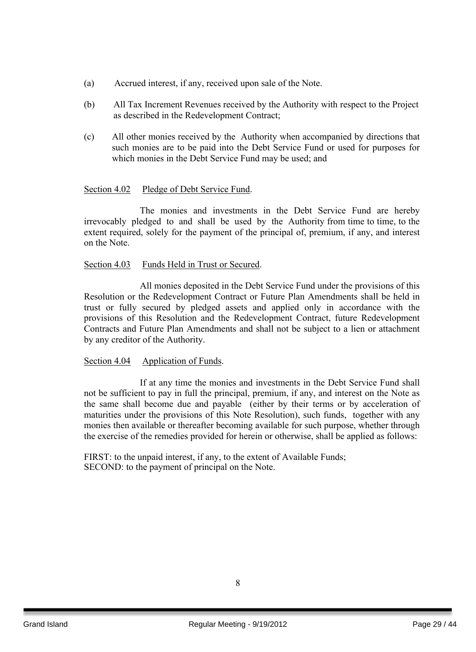- (a) Accrued interest, if any, received upon sale of the Note.
- (b) All Tax Increment Revenues received by the Authority with respect to the Project as described in the Redevelopment Contract;
- (c) All other monies received by the Authority when accompanied by directions that such monies are to be paid into the Debt Service Fund or used for purposes for which monies in the Debt Service Fund may be used; and

#### Section 4.02 Pledge of Debt Service Fund.

The monies and investments in the Debt Service Fund are hereby irrevocably pledged to and shall be used by the Authority from time to time, to the extent required, solely for the payment of the principal of, premium, if any, and interest on the Note.

#### Section 4.03 Funds Held in Trust or Secured.

All monies deposited in the Debt Service Fund under the provisions of this Resolution or the Redevelopment Contract or Future Plan Amendments shall be held in trust or fully secured by pledged assets and applied only in accordance with the provisions of this Resolution and the Redevelopment Contract, future Redevelopment Contracts and Future Plan Amendments and shall not be subject to a lien or attachment by any creditor of the Authority.

#### Section 4.04 Application of Funds.

If at any time the monies and investments in the Debt Service Fund shall not be sufficient to pay in full the principal, premium, if any, and interest on the Note as the same shall become due and payable (either by their terms or by acceleration of maturities under the provisions of this Note Resolution), such funds, together with any monies then available or thereafter becoming available for such purpose, whether through the exercise of the remedies provided for herein or otherwise, shall be applied as follows:

FIRST: to the unpaid interest, if any, to the extent of Available Funds; SECOND: to the payment of principal on the Note.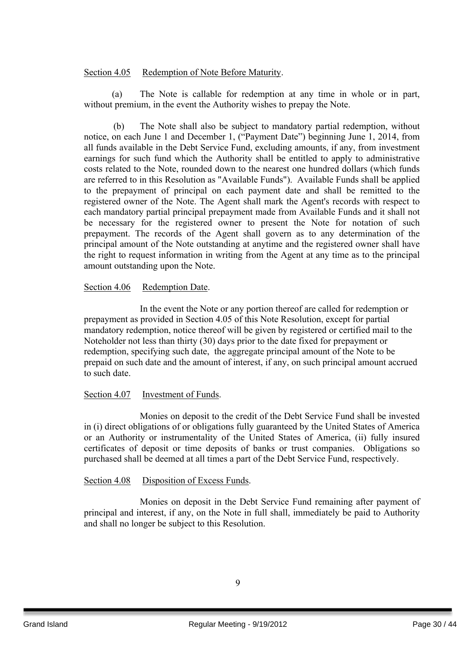### Section 4.05 Redemption of Note Before Maturity.

(a) The Note is callable for redemption at any time in whole or in part, without premium, in the event the Authority wishes to prepay the Note.

(b) The Note shall also be subject to mandatory partial redemption, without notice, on each June 1 and December 1, ("Payment Date") beginning June 1, 2014, from all funds available in the Debt Service Fund, excluding amounts, if any, from investment earnings for such fund which the Authority shall be entitled to apply to administrative costs related to the Note, rounded down to the nearest one hundred dollars (which funds are referred to in this Resolution as "Available Funds"). Available Funds shall be applied to the prepayment of principal on each payment date and shall be remitted to the registered owner of the Note. The Agent shall mark the Agent's records with respect to each mandatory partial principal prepayment made from Available Funds and it shall not be necessary for the registered owner to present the Note for notation of such prepayment. The records of the Agent shall govern as to any determination of the principal amount of the Note outstanding at anytime and the registered owner shall have the right to request information in writing from the Agent at any time as to the principal amount outstanding upon the Note.

#### Section 4.06 Redemption Date.

In the event the Note or any portion thereof are called for redemption or prepayment as provided in Section 4.05 of this Note Resolution, except for partial mandatory redemption, notice thereof will be given by registered or certified mail to the Noteholder not less than thirty (30) days prior to the date fixed for prepayment or redemption, specifying such date, the aggregate principal amount of the Note to be prepaid on such date and the amount of interest, if any, on such principal amount accrued to such date.

## Section 4.07 Investment of Funds.

Monies on deposit to the credit of the Debt Service Fund shall be invested in (i) direct obligations of or obligations fully guaranteed by the United States of America or an Authority or instrumentality of the United States of America, (ii) fully insured certificates of deposit or time deposits of banks or trust companies. Obligations so purchased shall be deemed at all times a part of the Debt Service Fund, respectively.

#### Section 4.08 Disposition of Excess Funds.

Monies on deposit in the Debt Service Fund remaining after payment of principal and interest, if any, on the Note in full shall, immediately be paid to Authority and shall no longer be subject to this Resolution.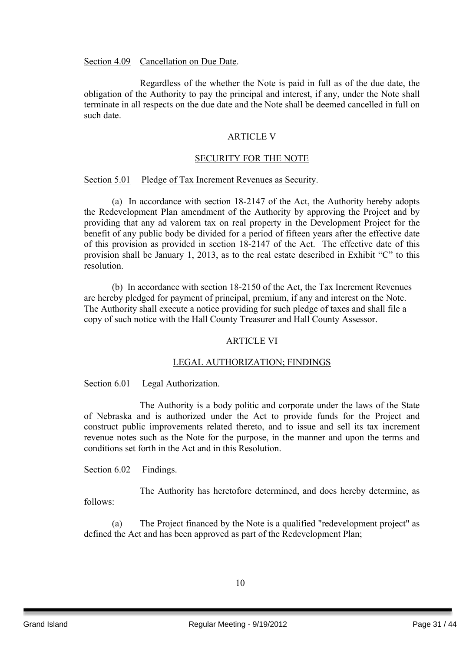Section 4.09 Cancellation on Due Date.

Regardless of the whether the Note is paid in full as of the due date, the obligation of the Authority to pay the principal and interest, if any, under the Note shall terminate in all respects on the due date and the Note shall be deemed cancelled in full on such date.

#### ARTICLE V

#### SECURITY FOR THE NOTE

#### Section 5.01 Pledge of Tax Increment Revenues as Security.

(a) In accordance with section 18-2147 of the Act, the Authority hereby adopts the Redevelopment Plan amendment of the Authority by approving the Project and by providing that any ad valorem tax on real property in the Development Project for the benefit of any public body be divided for a period of fifteen years after the effective date of this provision as provided in section 18-2147 of the Act. The effective date of this provision shall be January 1, 2013, as to the real estate described in Exhibit "C" to this resolution.

(b) In accordance with section 18-2150 of the Act, the Tax Increment Revenues are hereby pledged for payment of principal, premium, if any and interest on the Note. The Authority shall execute a notice providing for such pledge of taxes and shall file a copy of such notice with the Hall County Treasurer and Hall County Assessor.

#### ARTICLE VI

#### LEGAL AUTHORIZATION; FINDINGS

#### Section 6.01 Legal Authorization.

The Authority is a body politic and corporate under the laws of the State of Nebraska and is authorized under the Act to provide funds for the Project and construct public improvements related thereto, and to issue and sell its tax increment revenue notes such as the Note for the purpose, in the manner and upon the terms and conditions set forth in the Act and in this Resolution.

#### Section 6.02 Findings.

The Authority has heretofore determined, and does hereby determine, as follows:

(a) The Project financed by the Note is a qualified "redevelopment project" as defined the Act and has been approved as part of the Redevelopment Plan;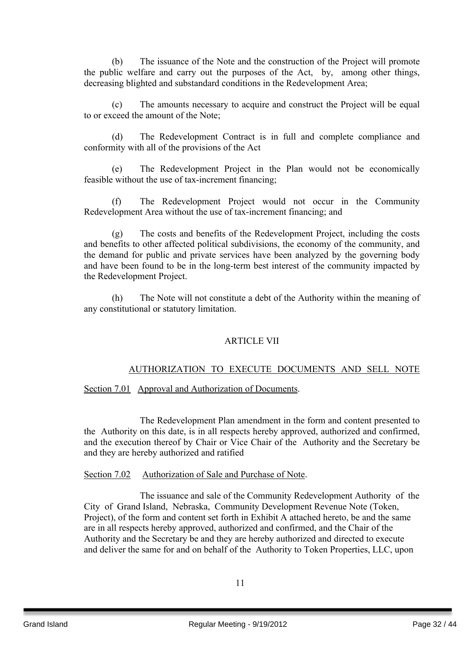(b) The issuance of the Note and the construction of the Project will promote the public welfare and carry out the purposes of the Act, by, among other things, decreasing blighted and substandard conditions in the Redevelopment Area;

(c) The amounts necessary to acquire and construct the Project will be equal to or exceed the amount of the Note;

(d) The Redevelopment Contract is in full and complete compliance and conformity with all of the provisions of the Act

(e) The Redevelopment Project in the Plan would not be economically feasible without the use of tax-increment financing;

(f) The Redevelopment Project would not occur in the Community Redevelopment Area without the use of tax-increment financing; and

(g) The costs and benefits of the Redevelopment Project, including the costs and benefits to other affected political subdivisions, the economy of the community, and the demand for public and private services have been analyzed by the governing body and have been found to be in the long-term best interest of the community impacted by the Redevelopment Project.

(h) The Note will not constitute a debt of the Authority within the meaning of any constitutional or statutory limitation.

## ARTICLE VII

## AUTHORIZATION TO EXECUTE DOCUMENTS AND SELL NOTE

Section 7.01 Approval and Authorization of Documents.

The Redevelopment Plan amendment in the form and content presented to the Authority on this date, is in all respects hereby approved, authorized and confirmed, and the execution thereof by Chair or Vice Chair of the Authority and the Secretary be and they are hereby authorized and ratified

## Section 7.02 Authorization of Sale and Purchase of Note.

The issuance and sale of the Community Redevelopment Authority of the City of Grand Island, Nebraska, Community Development Revenue Note (Token, Project), of the form and content set forth in Exhibit A attached hereto, be and the same are in all respects hereby approved, authorized and confirmed, and the Chair of the Authority and the Secretary be and they are hereby authorized and directed to execute and deliver the same for and on behalf of the Authority to Token Properties, LLC, upon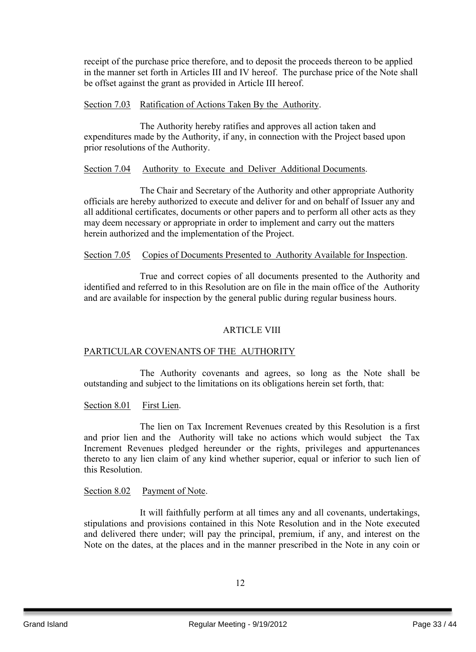receipt of the purchase price therefore, and to deposit the proceeds thereon to be applied in the manner set forth in Articles III and IV hereof. The purchase price of the Note shall be offset against the grant as provided in Article III hereof.

#### Section 7.03 Ratification of Actions Taken By the Authority.

The Authority hereby ratifies and approves all action taken and expenditures made by the Authority, if any, in connection with the Project based upon prior resolutions of the Authority.

## Section 7.04 Authority to Execute and Deliver Additional Documents.

The Chair and Secretary of the Authority and other appropriate Authority officials are hereby authorized to execute and deliver for and on behalf of Issuer any and all additional certificates, documents or other papers and to perform all other acts as they may deem necessary or appropriate in order to implement and carry out the matters herein authorized and the implementation of the Project.

#### Section 7.05 Copies of Documents Presented to Authority Available for Inspection.

True and correct copies of all documents presented to the Authority and identified and referred to in this Resolution are on file in the main office of the Authority and are available for inspection by the general public during regular business hours.

## ARTICLE VIII

## PARTICULAR COVENANTS OF THE AUTHORITY

The Authority covenants and agrees, so long as the Note shall be outstanding and subject to the limitations on its obligations herein set forth, that:

#### Section 8.01 First Lien.

The lien on Tax Increment Revenues created by this Resolution is a first and prior lien and the Authority will take no actions which would subject the Tax Increment Revenues pledged hereunder or the rights, privileges and appurtenances thereto to any lien claim of any kind whether superior, equal or inferior to such lien of this Resolution.

#### Section 8.02 Payment of Note.

It will faithfully perform at all times any and all covenants, undertakings, stipulations and provisions contained in this Note Resolution and in the Note executed and delivered there under; will pay the principal, premium, if any, and interest on the Note on the dates, at the places and in the manner prescribed in the Note in any coin or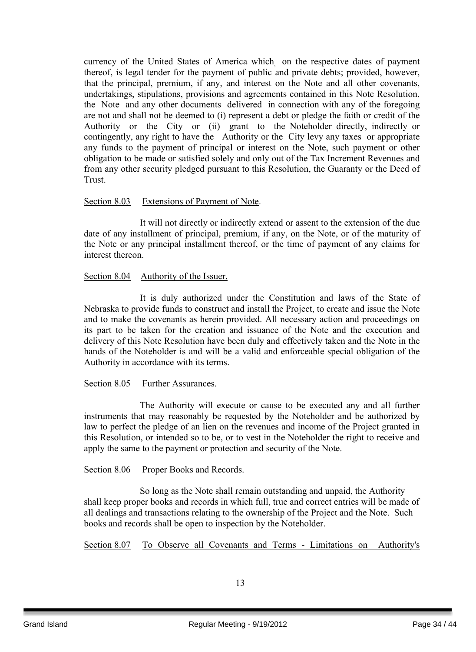currency of the United States of America which on the respective dates of payment thereof, is legal tender for the payment of public and private debts; provided, however, that the principal, premium, if any, and interest on the Note and all other covenants, undertakings, stipulations, provisions and agreements contained in this Note Resolution, the Note and any other documents delivered in connection with any of the foregoing are not and shall not be deemed to (i) represent a debt or pledge the faith or credit of the Authority or the City or (ii) grant to the Noteholder directly, indirectly or contingently, any right to have the Authority or the City levy any taxes or appropriate any funds to the payment of principal or interest on the Note, such payment or other obligation to be made or satisfied solely and only out of the Tax Increment Revenues and from any other security pledged pursuant to this Resolution, the Guaranty or the Deed of Trust.

#### Section 8.03 Extensions of Payment of Note.

It will not directly or indirectly extend or assent to the extension of the due date of any installment of principal, premium, if any, on the Note, or of the maturity of the Note or any principal installment thereof, or the time of payment of any claims for interest thereon.

#### Section 8.04 Authority of the Issuer.

It is duly authorized under the Constitution and laws of the State of Nebraska to provide funds to construct and install the Project, to create and issue the Note and to make the covenants as herein provided. All necessary action and proceedings on its part to be taken for the creation and issuance of the Note and the execution and delivery of this Note Resolution have been duly and effectively taken and the Note in the hands of the Noteholder is and will be a valid and enforceable special obligation of the Authority in accordance with its terms.

## Section 8.05 Further Assurances.

The Authority will execute or cause to be executed any and all further instruments that may reasonably be requested by the Noteholder and be authorized by law to perfect the pledge of an lien on the revenues and income of the Project granted in this Resolution, or intended so to be, or to vest in the Noteholder the right to receive and apply the same to the payment or protection and security of the Note.

#### Section 8.06 Proper Books and Records.

So long as the Note shall remain outstanding and unpaid, the Authority shall keep proper books and records in which full, true and correct entries will be made of all dealings and transactions relating to the ownership of the Project and the Note. Such books and records shall be open to inspection by the Noteholder.

Section 8.07 To Observe all Covenants and Terms - Limitations on Authority's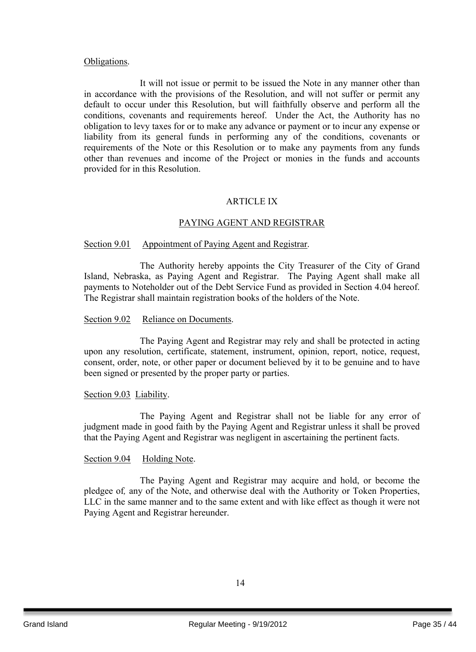#### Obligations.

It will not issue or permit to be issued the Note in any manner other than in accordance with the provisions of the Resolution, and will not suffer or permit any default to occur under this Resolution, but will faithfully observe and perform all the conditions, covenants and requirements hereof. Under the Act, the Authority has no obligation to levy taxes for or to make any advance or payment or to incur any expense or liability from its general funds in performing any of the conditions, covenants or requirements of the Note or this Resolution or to make any payments from any funds other than revenues and income of the Project or monies in the funds and accounts provided for in this Resolution.

#### ARTICLE IX

#### PAYING AGENT AND REGISTRAR

#### Section 9.01 Appointment of Paying Agent and Registrar.

The Authority hereby appoints the City Treasurer of the City of Grand Island, Nebraska, as Paying Agent and Registrar. The Paying Agent shall make all payments to Noteholder out of the Debt Service Fund as provided in Section 4.04 hereof. The Registrar shall maintain registration books of the holders of the Note.

#### Section 9.02 Reliance on Documents.

The Paying Agent and Registrar may rely and shall be protected in acting upon any resolution, certificate, statement, instrument, opinion, report, notice, request, consent, order, note, or other paper or document believed by it to be genuine and to have been signed or presented by the proper party or parties.

#### Section 9.03 Liability.

The Paying Agent and Registrar shall not be liable for any error of judgment made in good faith by the Paying Agent and Registrar unless it shall be proved that the Paying Agent and Registrar was negligent in ascertaining the pertinent facts.

#### Section 9.04 Holding Note.

The Paying Agent and Registrar may acquire and hold, or become the pledgee of*,* any of the Note, and otherwise deal with the Authority or Token Properties, LLC in the same manner and to the same extent and with like effect as though it were not Paying Agent and Registrar hereunder.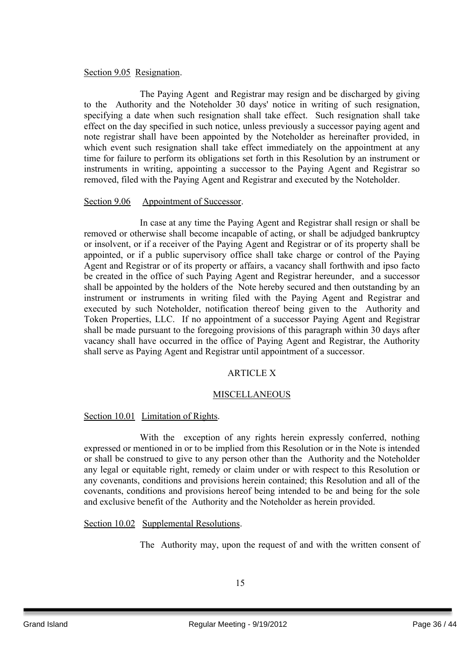## Section 9.05 Resignation.

The Paying Agent and Registrar may resign and be discharged by giving to the Authority and the Noteholder 30 days' notice in writing of such resignation, specifying a date when such resignation shall take effect. Such resignation shall take effect on the day specified in such notice, unless previously a successor paying agent and note registrar shall have been appointed by the Noteholder as hereinafter provided, in which event such resignation shall take effect immediately on the appointment at any time for failure to perform its obligations set forth in this Resolution by an instrument or instruments in writing, appointing a successor to the Paying Agent and Registrar so removed, filed with the Paying Agent and Registrar and executed by the Noteholder.

#### Section 9.06 Appointment of Successor.

In case at any time the Paying Agent and Registrar shall resign or shall be removed or otherwise shall become incapable of acting, or shall be adjudged bankruptcy or insolvent, or if a receiver of the Paying Agent and Registrar or of its property shall be appointed, or if a public supervisory office shall take charge or control of the Paying Agent and Registrar or of its property or affairs, a vacancy shall forthwith and ipso facto be created in the office of such Paying Agent and Registrar hereunder, and a successor shall be appointed by the holders of the Note hereby secured and then outstanding by an instrument or instruments in writing filed with the Paying Agent and Registrar and executed by such Noteholder, notification thereof being given to the Authority and Token Properties, LLC. If no appointment of a successor Paying Agent and Registrar shall be made pursuant to the foregoing provisions of this paragraph within 30 days after vacancy shall have occurred in the office of Paying Agent and Registrar, the Authority shall serve as Paying Agent and Registrar until appointment of a successor.

#### ARTICLE X

#### MISCELLANEOUS

## Section 10.01 Limitation of Rights.

With the exception of any rights herein expressly conferred, nothing expressed or mentioned in or to be implied from this Resolution or in the Note is intended or shall be construed to give to any person other than the Authority and the Noteholder any legal or equitable right, remedy or claim under or with respect to this Resolution or any covenants, conditions and provisions herein contained; this Resolution and all of the covenants, conditions and provisions hereof being intended to be and being for the sole and exclusive benefit of the Authority and the Noteholder as herein provided.

Section 10.02 Supplemental Resolutions.

The Authority may, upon the request of and with the written consent of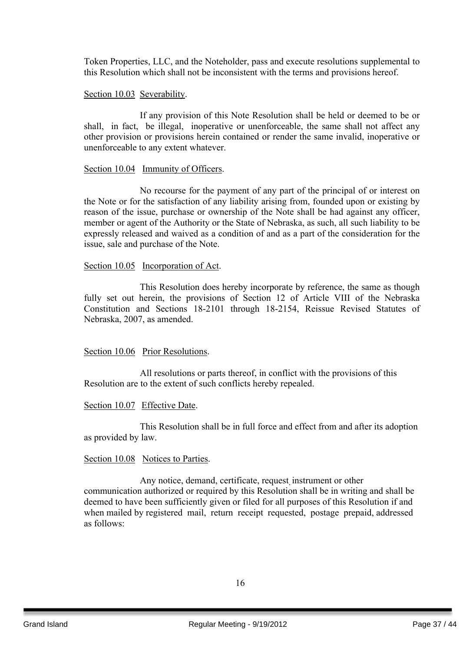Token Properties, LLC, and the Noteholder, pass and execute resolutions supplemental to this Resolution which shall not be inconsistent with the terms and provisions hereof.

#### Section 10.03 Severability.

If any provision of this Note Resolution shall be held or deemed to be or shall, in fact, be illegal, inoperative or unenforceable, the same shall not affect any other provision or provisions herein contained or render the same invalid, inoperative or unenforceable to any extent whatever.

#### Section 10.04 Immunity of Officers.

No recourse for the payment of any part of the principal of or interest on the Note or for the satisfaction of any liability arising from, founded upon or existing by reason of the issue, purchase or ownership of the Note shall be had against any officer, member or agent of the Authority or the State of Nebraska, as such, all such liability to be expressly released and waived as a condition of and as a part of the consideration for the issue, sale and purchase of the Note.

#### Section 10.05 Incorporation of Act.

This Resolution does hereby incorporate by reference, the same as though fully set out herein, the provisions of Section 12 of Article VIII of the Nebraska Constitution and Sections 18-2101 through 18-2154, Reissue Revised Statutes of Nebraska, 2007, as amended.

#### Section 10.06 Prior Resolutions.

All resolutions or parts thereof, in conflict with the provisions of this Resolution are to the extent of such conflicts hereby repealed.

#### Section 10.07 Effective Date.

This Resolution shall be in full force and effect from and after its adoption as provided by law.

#### Section 10.08 Notices to Parties.

Any notice, demand, certificate, request, instrument or other communication authorized or required by this Resolution shall be in writing and shall be deemed to have been sufficiently given or filed for all purposes of this Resolution if and when mailed by registered mail, return receipt requested, postage prepaid, addressed as follows: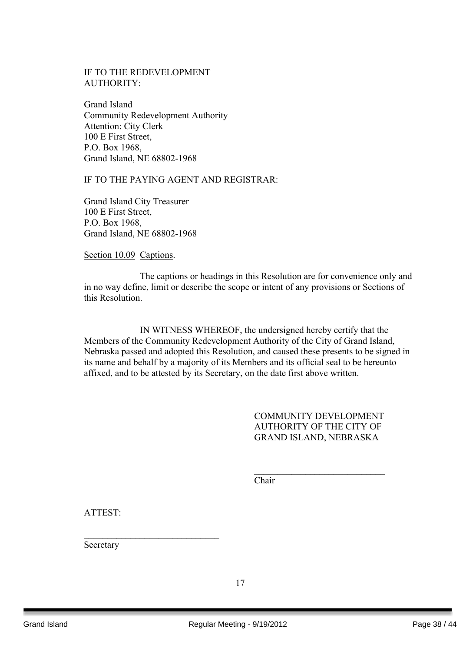## IF TO THE REDEVELOPMENT AUTHORITY:

Grand Island Community Redevelopment Authority Attention: City Clerk 100 E First Street, P.O. Box 1968, Grand Island, NE 68802-1968

#### IF TO THE PAYING AGENT AND REGISTRAR:

Grand Island City Treasurer 100 E First Street, P.O. Box 1968, Grand Island, NE 68802-1968

Section 10.09 Captions.

The captions or headings in this Resolution are for convenience only and in no way define, limit or describe the scope or intent of any provisions or Sections of this Resolution.

IN WITNESS WHEREOF, the undersigned hereby certify that the Members of the Community Redevelopment Authority of the City of Grand Island, Nebraska passed and adopted this Resolution, and caused these presents to be signed in its name and behalf by a majority of its Members and its official seal to be hereunto affixed, and to be attested by its Secretary, on the date first above written.

> COMMUNITY DEVELOPMENT AUTHORITY OF THE CITY OF GRAND ISLAND, NEBRASKA

> $\mathcal{L}_\text{max}$  , where  $\mathcal{L}_\text{max}$  , we have the set of the set of the set of the set of the set of the set of the set of the set of the set of the set of the set of the set of the set of the set of the set of the set of

Chair

ATTEST:

Secretary

 $\mathcal{L}_\text{max}$  , where  $\mathcal{L}_\text{max}$  , we have the set of  $\mathcal{L}_\text{max}$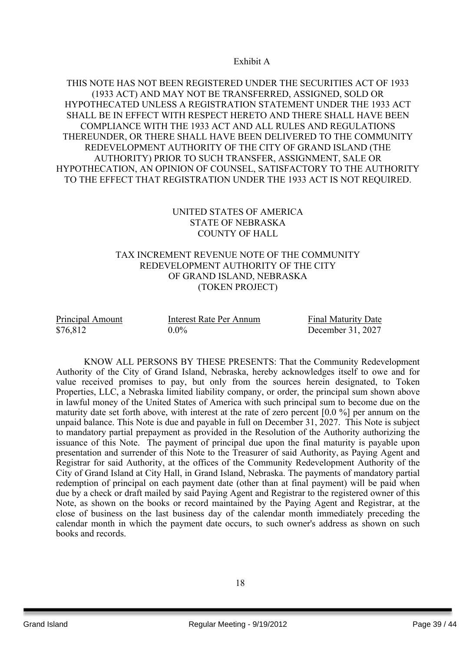Exhibit A

## THIS NOTE HAS NOT BEEN REGISTERED UNDER THE SECURITIES ACT OF 1933 (1933 ACT) AND MAY NOT BE TRANSFERRED, ASSIGNED, SOLD OR HYPOTHECATED UNLESS A REGISTRATION STATEMENT UNDER THE 1933 ACT SHALL BE IN EFFECT WITH RESPECT HERETO AND THERE SHALL HAVE BEEN COMPLIANCE WITH THE 1933 ACT AND ALL RULES AND REGULATIONS THEREUNDER, OR THERE SHALL HAVE BEEN DELIVERED TO THE COMMUNITY REDEVELOPMENT AUTHORITY OF THE CITY OF GRAND ISLAND (THE AUTHORITY) PRIOR TO SUCH TRANSFER, ASSIGNMENT, SALE OR HYPOTHECATION, AN OPINION OF COUNSEL, SATISFACTORY TO THE AUTHORITY TO THE EFFECT THAT REGISTRATION UNDER THE 1933 ACT IS NOT REQUIRED.

## UNITED STATES OF AMERICA STATE OF NEBRASKA COUNTY OF HALL

#### TAX INCREMENT REVENUE NOTE OF THE COMMUNITY REDEVELOPMENT AUTHORITY OF THE CITY OF GRAND ISLAND, NEBRASKA (TOKEN PROJECT)

| Principal Amount | Interest Rate Per Annum | <b>Final Maturity Date</b> |  |
|------------------|-------------------------|----------------------------|--|
| \$76,812         | $0.0\%$                 | December 31, 2027          |  |

KNOW ALL PERSONS BY THESE PRESENTS: That the Community Redevelopment Authority of the City of Grand Island, Nebraska, hereby acknowledges itself to owe and for value received promises to pay, but only from the sources herein designated, to Token Properties, LLC, a Nebraska limited liability company, or order, the principal sum shown above in lawful money of the United States of America with such principal sum to become due on the maturity date set forth above, with interest at the rate of zero percent [0.0 %] per annum on the unpaid balance. This Note is due and payable in full on December 31, 2027. This Note is subject to mandatory partial prepayment as provided in the Resolution of the Authority authorizing the issuance of this Note. The payment of principal due upon the final maturity is payable upon presentation and surrender of this Note to the Treasurer of said Authority, as Paying Agent and Registrar for said Authority, at the offices of the Community Redevelopment Authority of the City of Grand Island at City Hall, in Grand Island, Nebraska. The payments of mandatory partial redemption of principal on each payment date (other than at final payment) will be paid when due by a check or draft mailed by said Paying Agent and Registrar to the registered owner of this Note, as shown on the books or record maintained by the Paying Agent and Registrar, at the close of business on the last business day of the calendar month immediately preceding the calendar month in which the payment date occurs, to such owner's address as shown on such books and records.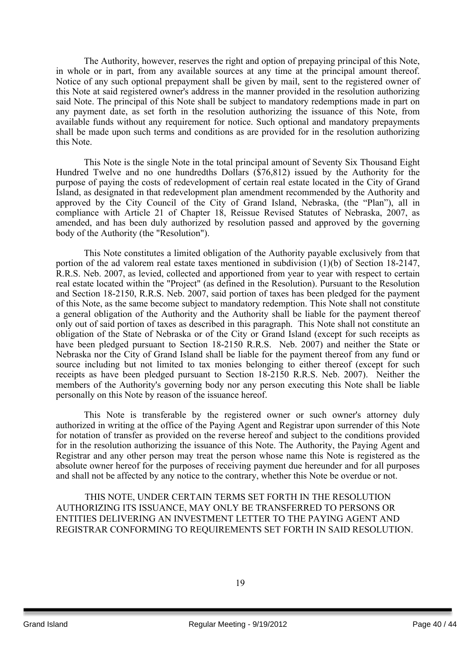The Authority, however, reserves the right and option of prepaying principal of this Note, in whole or in part, from any available sources at any time at the principal amount thereof. Notice of any such optional prepayment shall be given by mail, sent to the registered owner of this Note at said registered owner's address in the manner provided in the resolution authorizing said Note. The principal of this Note shall be subject to mandatory redemptions made in part on any payment date, as set forth in the resolution authorizing the issuance of this Note, from available funds without any requirement for notice. Such optional and mandatory prepayments shall be made upon such terms and conditions as are provided for in the resolution authorizing this Note.

This Note is the single Note in the total principal amount of Seventy Six Thousand Eight Hundred Twelve and no one hundredths Dollars (\$76,812) issued by the Authority for the purpose of paying the costs of redevelopment of certain real estate located in the City of Grand Island, as designated in that redevelopment plan amendment recommended by the Authority and approved by the City Council of the City of Grand Island, Nebraska, (the "Plan"), all in compliance with Article 21 of Chapter 18, Reissue Revised Statutes of Nebraska, 2007, as amended, and has been duly authorized by resolution passed and approved by the governing body of the Authority (the "Resolution").

This Note constitutes a limited obligation of the Authority payable exclusively from that portion of the ad valorem real estate taxes mentioned in subdivision (1)(b) of Section 18-2147, R.R.S. Neb. 2007, as levied, collected and apportioned from year to year with respect to certain real estate located within the "Project" (as defined in the Resolution). Pursuant to the Resolution and Section 18-2150, R.R.S. Neb. 2007, said portion of taxes has been pledged for the payment of this Note, as the same become subject to mandatory redemption. This Note shall not constitute a general obligation of the Authority and the Authority shall be liable for the payment thereof only out of said portion of taxes as described in this paragraph. This Note shall not constitute an obligation of the State of Nebraska or of the City or Grand Island (except for such receipts as have been pledged pursuant to Section 18-2150 R.R.S. Neb. 2007) and neither the State or Nebraska nor the City of Grand Island shall be liable for the payment thereof from any fund or source including but not limited to tax monies belonging to either thereof (except for such receipts as have been pledged pursuant to Section 18-2150 R.R.S. Neb. 2007). Neither the members of the Authority's governing body nor any person executing this Note shall be liable personally on this Note by reason of the issuance hereof.

This Note is transferable by the registered owner or such owner's attorney duly authorized in writing at the office of the Paying Agent and Registrar upon surrender of this Note for notation of transfer as provided on the reverse hereof and subject to the conditions provided for in the resolution authorizing the issuance of this Note. The Authority, the Paying Agent and Registrar and any other person may treat the person whose name this Note is registered as the absolute owner hereof for the purposes of receiving payment due hereunder and for all purposes and shall not be affected by any notice to the contrary, whether this Note be overdue or not.

THIS NOTE, UNDER CERTAIN TERMS SET FORTH IN THE RESOLUTION AUTHORIZING ITS ISSUANCE, MAY ONLY BE TRANSFERRED TO PERSONS OR ENTITIES DELIVERING AN INVESTMENT LETTER TO THE PAYING AGENT AND REGISTRAR CONFORMING TO REQUIREMENTS SET FORTH IN SAID RESOLUTION.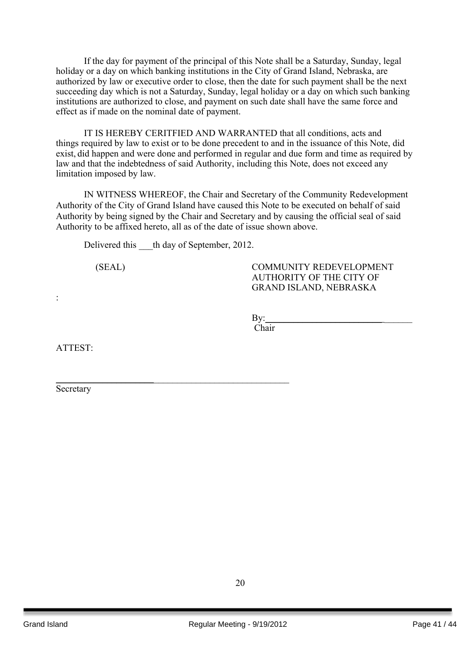If the day for payment of the principal of this Note shall be a Saturday, Sunday, legal holiday or a day on which banking institutions in the City of Grand Island, Nebraska, are authorized by law or executive order to close, then the date for such payment shall be the next succeeding day which is not a Saturday, Sunday, legal holiday or a day on which such banking institutions are authorized to close, and payment on such date shall have the same force and effect as if made on the nominal date of payment.

IT IS HEREBY CERITFIED AND WARRANTED that all conditions, acts and things required by law to exist or to be done precedent to and in the issuance of this Note, did exist, did happen and were done and performed in regular and due form and time as required by law and that the indebtedness of said Authority, including this Note, does not exceed any limitation imposed by law.

IN WITNESS WHEREOF, the Chair and Secretary of the Community Redevelopment Authority of the City of Grand Island have caused this Note to be executed on behalf of said Authority by being signed by the Chair and Secretary and by causing the official seal of said Authority to be affixed hereto, all as of the date of issue shown above.

Delivered this th day of September, 2012.

\_\_\_\_\_\_\_\_\_\_\_\_\_\_\_\_\_\_\_\_\_\_\_\_\_\_\_\_\_\_\_\_\_\_\_\_\_\_\_\_\_\_\_\_\_\_\_\_\_\_

(SEAL) COMMUNITY REDEVELOPMENT AUTHORITY OF THE CITY OF GRAND ISLAND, NEBRASKA

By:\_\_\_\_\_\_\_\_\_\_\_\_\_\_\_\_\_\_\_\_\_\_\_\_\_ \_\_\_\_\_\_

Chair

ATTEST:

:

Secretary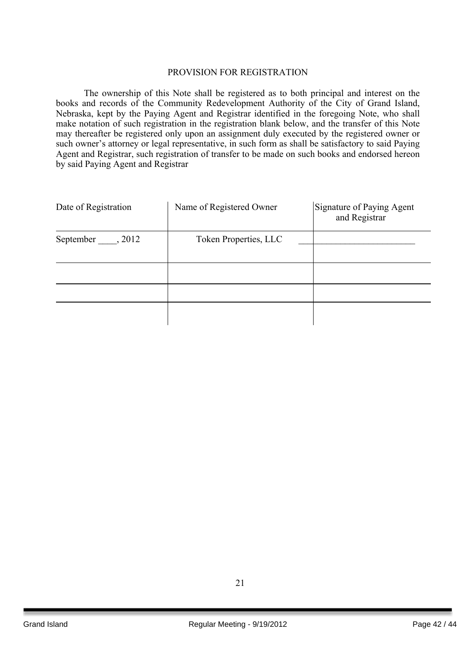#### PROVISION FOR REGISTRATION

The ownership of this Note shall be registered as to both principal and interest on the books and records of the Community Redevelopment Authority of the City of Grand Island, Nebraska, kept by the Paying Agent and Registrar identified in the foregoing Note, who shall make notation of such registration in the registration blank below, and the transfer of this Note may thereafter be registered only upon an assignment duly executed by the registered owner or such owner's attorney or legal representative, in such form as shall be satisfactory to said Paying Agent and Registrar, such registration of transfer to be made on such books and endorsed hereon by said Paying Agent and Registrar

| Date of Registration | Name of Registered Owner | Signature of Paying Agent<br>and Registrar |
|----------------------|--------------------------|--------------------------------------------|
| September , 2012     | Token Properties, LLC    |                                            |
|                      |                          |                                            |
|                      |                          |                                            |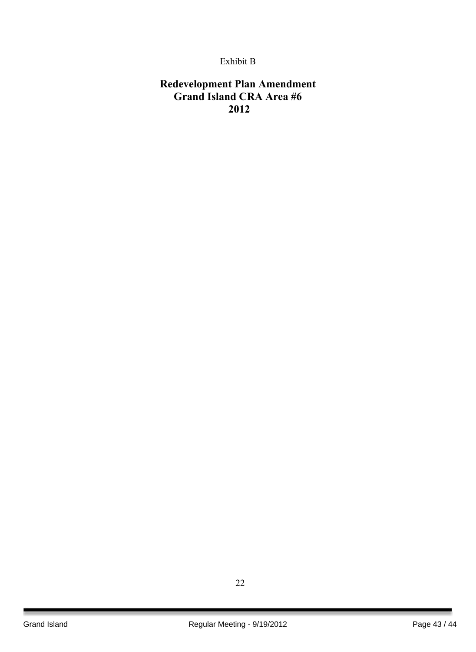## Exhibit B

## **Redevelopment Plan Amendment Grand Island CRA Area #6 2012**

22